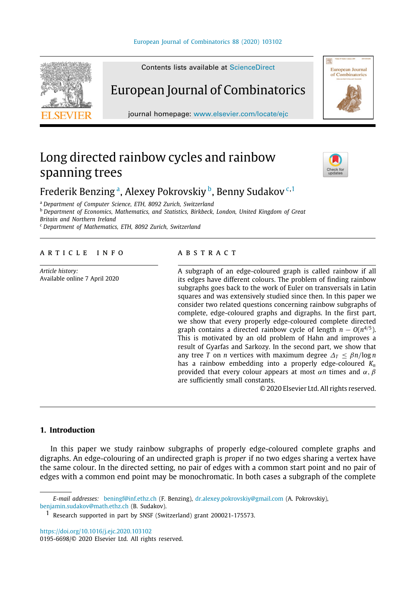#### [European Journal of Combinatorics 88 \(2020\) 103102](https://doi.org/10.1016/j.ejc.2020.103102)



Contents lists available at [ScienceDirect](http://www.elsevier.com/locate/ejc)

# European Journal of Combinatorics

journal homepage: [www.elsevier.com/locate/ejc](http://www.elsevier.com/locate/ejc)

# Long directed rainbow cycles and rainbow spanning trees



European Journal<br>of Combinatorics

# Frederik Benzing <sup>[a](#page-0-0)</sup>, Alexey Pokrovskiy <sup>[b](#page-0-1)</sup>, Benny Sudakov <sup>[c](#page-0-2), [1](#page-0-3)</sup>

<span id="page-0-2"></span><span id="page-0-1"></span><span id="page-0-0"></span><sup>a</sup> *Department of Computer Science, ETH, 8092 Zurich, Switzerland* <sup>b</sup> *Department of Economics, Mathematics, and Statistics, Birkbeck, London, United Kingdom of Great Britain and Northern Ireland* <sup>c</sup> *Department of Mathematics, ETH, 8092 Zurich, Switzerland*

#### A R T I C L E I N F O

*Article history:* Available online 7 April 2020

#### A B S T R A C T

A subgraph of an edge-coloured graph is called rainbow if all its edges have different colours. The problem of finding rainbow subgraphs goes back to the work of Euler on transversals in Latin squares and was extensively studied since then. In this paper we consider two related questions concerning rainbow subgraphs of complete, edge-coloured graphs and digraphs. In the first part, we show that every properly edge-coloured complete directed graph contains a directed rainbow cycle of length  $n - O(n^{4/5})$ . This is motivated by an old problem of Hahn and improves a result of Gyarfas and Sarkozy. In the second part, we show that any tree *T* on *n* vertices with maximum degree  $\Delta_T \leq \beta n / \log n$ has a rainbow embedding into a properly edge-coloured *K<sup>n</sup>* provided that every colour appears at most  $\alpha n$  times and  $\alpha, \beta$ are sufficiently small constants.

© 2020 Elsevier Ltd. All rights reserved.

## **1. Introduction**

In this paper we study rainbow subgraphs of properly edge-coloured complete graphs and digraphs. An edge-colouring of an undirected graph is *proper* if no two edges sharing a vertex have the same colour. In the directed setting, no pair of edges with a common start point and no pair of edges with a common end point may be monochromatic. In both cases a subgraph of the complete

<https://doi.org/10.1016/j.ejc.2020.103102>

*E-mail addresses:* [beningf@inf.ethz.ch](mailto:beningf@inf.ethz.ch) (F. Benzing), [dr.alexey.pokrovskiy@gmail.com](mailto:dr.alexey.pokrovskiy@gmail.com) (A. Pokrovskiy), [benjamin.sudakov@math.ethz.ch](mailto:benjamin.sudakov@math.ethz.ch) (B. Sudakov).

<span id="page-0-3"></span><sup>1</sup> Research supported in part by SNSF (Switzerland) grant 200021-175573.

<sup>0195-6698/</sup>© 2020 Elsevier Ltd. All rights reserved.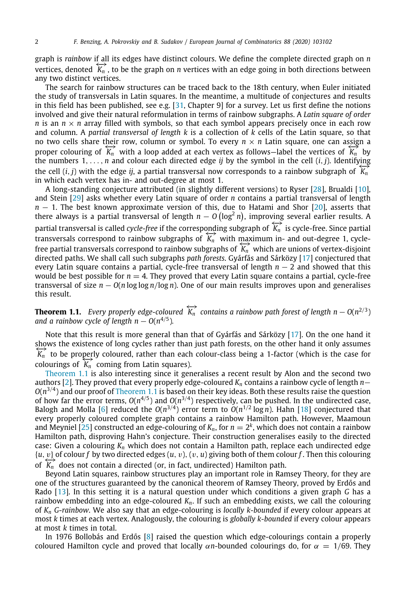graph is *rainbow* if all its edges have distinct colours. We define the complete directed graph on *n* vertices, denoted  $\overleftrightarrow{K_n}$ , to be the graph on *n* vertices with an edge going in both directions between any two distinct vertices.

The search for rainbow structures can be traced back to the 18th century, when Euler initiated the study of transversals in Latin squares. In the meantime, a multitude of conjectures and results in this field has been published, see e.g. [[31](#page-20-0), Chapter 9] for a survey. Let us first define the notions involved and give their natural reformulation in terms of rainbow subgraphs. A *Latin square of order n* is an  $n \times n$  array filled with symbols, so that each symbol appears precisely once in each row and column. A *partial transversal of length k* is a collection of *k* cells of the Latin square, so that no two cells share their row, column or symbol. To every  $n \times n$  Latin square, one can assign a proper colouring of  $\overleftrightarrow{K_n}$  with a loop added at each vertex as follows—label the vertices of  $\overleftrightarrow{K_n}$  by the numbers  $1, \ldots, n$  and colour each directed edge *ij* by the symbol in the cell  $(i, j)$ . Identifying the cell  $(i, j)$  with the edge *ij*, a partial transversal now corresponds to a rainbow subgraph of  $K_n$ <sup>*n*</sup> in which each vertex has in- and out-degree at most 1.

A long-standing conjecture attributed (in slightly different versions) to Ryser [[28](#page-20-1)], Brualdi [[10](#page-20-2)], and Stein [[29](#page-20-3)] asks whether every Latin square of order *n* contains a partial transversal of length *n* − 1. The best known approximate version of this, due to Hatami and Shor [\[20\]](#page-20-4), asserts that there always is a partial transversal of length *n* − *O* (log<sup>2</sup> *n*), improving several earlier results. A partial transversal is called *cycle-free* if the corresponding subgraph of  $K_n^+$  is cycle-free. Since partial transversal is called *cycle-free* if the corresponding subgraph of  $K_n^+$  is cycle-free. Since partial partial transversal is called cycle-free if the corresponding subgraph or  $K_n$  is cycle-free. Since partial transversals correspond to rainbow subgraphs of  $K_n$  with maximum in- and out-degree 1, cyclefree partial transversals correspond to rainbow subgraphs of  $\overline{K_n}$  which are unions of vertex-disjoint directed paths. We shall call such subgraphs *path forests*. Gyárfás and Sárközy [[17](#page-20-5)] conjectured that every Latin square contains a partial, cycle-free transversal of length *n* − 2 and showed that this would be best possible for  $n = 4$ . They proved that every Latin square contains a partial, cycle-free transversal of size  $n - O(n \log \log n / \log n)$ . One of our main results improves upon and generalises this result.

<span id="page-1-0"></span>**Theorem 1.1.** *Every properly edge-coloured*  $\overleftrightarrow{k_n}$  *contains a rainbow path forest of length n* −  $O(n^{2/3})$ *and a rainbow cycle of length n*  $O(n^{4/5})$ *.* 

Note that this result is more general than that of Gyárfás and Sárközy [[17](#page-20-5)]. On the one hand it shows the existence of long cycles rather than just path forests, on the other hand it only assumes  $\overleftrightarrow{K_n}$  to be properly coloured, rather than each colour-class being a 1-factor (which is the case for colourings of  $\widetilde{K_n}$  coming from Latin squares).

[Theorem](#page-1-0) [1.1](#page-1-0) is also interesting since it generalises a recent result by Alon and the second two authors [\[2\]](#page-20-6). They proved that every properly edge-coloured *K<sup>n</sup>* contains a rainbow cycle of length *n*−  $O(n^{3/4})$  and our proof of [Theorem](#page-1-0) [1.1](#page-1-0) is based on their key ideas. Both these results raise the question of how far the error terms,  $O(n^{4/5})$  and  $O(n^{3/4})$  respectively, can be pushed. In the undirected case, Balogh and Molla [\[6\]](#page-20-7) reduced the  $O(n^{3/4})$  error term to  $O(n^{1/2}\log n)$ . Hahn [[18](#page-20-8)] conjectured that every properly coloured complete graph contains a rainbow Hamilton path. However, Maamoun and Meyniel [[25](#page-20-9)] constructed an edge-colouring of  $K_n$ , for  $n=2^k$ , which does not contain a rainbow Hamilton path, disproving Hahn's conjecture. Their construction generalises easily to the directed case: Given a colouring *K<sup>n</sup>* which does not contain a Hamilton path, replace each undirected edge  $\{u, v\}$  of colour *f* by two directed edges  $(u, v), (v, u)$  giving both of them colour *f*. Then this colouring of  $\overleftrightarrow{K_n}$  does not contain a directed (or, in fact, undirected) Hamilton path.

Beyond Latin squares, rainbow structures play an important role in Ramsey Theory, for they are one of the structures guaranteed by the canonical theorem of Ramsey Theory, proved by Erdős and Rado [\[13](#page-20-10)]. In this setting it is a natural question under which conditions a given graph *G* has a rainbow embedding into an edge-coloured *Kn*. If such an embedding exists, we call the colouring of *K<sup>n</sup> G*-*rainbow*. We also say that an edge-colouring is *locally k-bounded* if every colour appears at most *k* times at each vertex. Analogously, the colouring is *globally k-bounded* if every colour appears at most *k* times in total.

In 1976 Bollobás and Erdős [[8\]](#page-20-11) raised the question which edge-colourings contain a properly coloured Hamilton cycle and proved that locally  $\alpha n$ -bounded colourings do, for  $\alpha = 1/69$ . They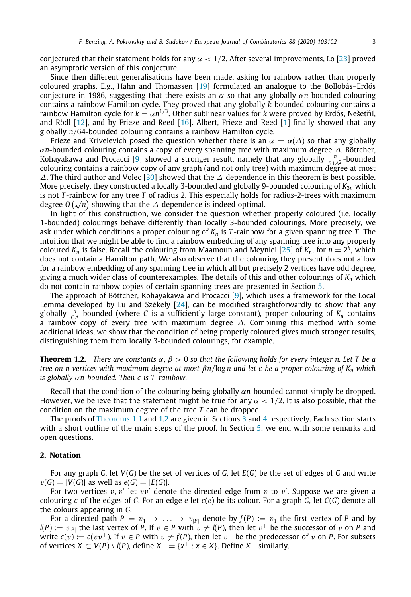conjectured that their statement holds for any  $\alpha$  < 1/2. After several improvements, Lo [\[23\]](#page-20-12) proved an asymptotic version of this conjecture.

Since then different generalisations have been made, asking for rainbow rather than properly coloured graphs. E.g., Hahn and Thomassen [\[19\]](#page-20-13) formulated an analogue to the Bollobás–Erdős conjecture in 1986, suggesting that there exists an  $\alpha$  so that any globally  $\alpha n$ -bounded colouring contains a rainbow Hamilton cycle. They proved that any globally *k*-bounded colouring contains a rainbow Hamilton cycle for  $k = \alpha n^{1/3}$ . Other sublinear values for *k* were proved by Erdős, Nešetřil, and Rödl [\[12\]](#page-20-14), and by Frieze and Reed [[16](#page-20-15)]. Albert, Frieze and Reed [[1](#page-20-16)] finally showed that any globally *n*/64-bounded colouring contains a rainbow Hamilton cycle.

Frieze and Krivelevich posed the question whether there is an  $\alpha = \alpha(\Delta)$  so that any globally α*n*-bounded colouring contains a copy of every spanning tree with maximum degree ∆. Böttcher, Kohayakawa and Procacci [[9\]](#page-20-17) showed a stronger result, namely that any globally  $\frac{n}{5.1.42}$ -bounded <sub>51△2</sub> bounded the colouring contains a rainbow copy of any graph (and not only tree) with maximum degree at most ∆. The third author and Volec [\[30\]](#page-20-18) showed that the ∆-dependence in this theorem is best possible. More precisely, they constructed a locally 3-bounded and globally 9-bounded colouring of *K*3*<sup>n</sup>* which is not *T* -rainbow for any tree *T* of radius 2. This especially holds for radius-2-trees with maximum is not *i*-rainbow for any tree *i* of radius 2. This especially noids fo<br>degree O(√n) showing that the ∆-dependence is indeed optimal.

In light of this construction, we consider the question whether properly coloured (i.e. locally 1-bounded) colourings behave differently than locally 3-bounded colourings. More precisely, we ask under which conditions a proper colouring of *K<sup>n</sup>* is *T* -rainbow for a given spanning tree *T* . The intuition that we might be able to find a rainbow embedding of any spanning tree into any properly coloured  $K_n$  is false. Recall the colouring from Maamoun and Meyniel [\[25\]](#page-20-9) of  $K_n$ , for  $n=2^k$ , which does not contain a Hamilton path. We also observe that the colouring they present does not allow for a rainbow embedding of any spanning tree in which all but precisely 2 vertices have odd degree, giving a much wider class of counterexamples. The details of this and other colourings of *K<sup>n</sup>* which do not contain rainbow copies of certain spanning trees are presented in Section [5](#page-18-0).

The approach of Böttcher, Kohayakawa and Procacci [\[9](#page-20-17)], which uses a framework for the Local Lemma developed by Lu and Székely [[24\]](#page-20-19), can be modified straightforwardly to show that any globally  $\frac{n}{C\Delta}$ -bounded (where *C* is a sufficiently large constant), proper colouring of  $K_n$  contains a rainbow copy of every tree with maximum degree  $\Delta$ . Combining this method with some additional ideas, we show that the condition of being properly coloured gives much stronger results, distinguishing them from locally 3-bounded colourings, for example.

<span id="page-2-0"></span>**Theorem 1.2.** *There are constants*  $\alpha$ ,  $\beta$  > 0 *so that the following holds for every integer n. Let T be a tree on n vertices with maximum degree at most* β*n*/log *n and let c be a proper colouring of K<sup>n</sup> which is globally* α*n-bounded. Then c is T -rainbow.*

Recall that the condition of the colouring being globally α*n*-bounded cannot simply be dropped. However, we believe that the statement might be true for any  $\alpha < 1/2$ . It is also possible, that the condition on the maximum degree of the tree *T* can be dropped.

The proofs of [Theorems](#page-1-0) [1.1](#page-1-0) and [1.2](#page-2-0) are given in Sections [3](#page-3-0) and [4](#page-9-0) respectively. Each section starts with a short outline of the main steps of the proof. In Section [5](#page-18-0), we end with some remarks and open questions.

#### **2. Notation**

For any graph *G*, let *V*(*G*) be the set of vertices of *G*, let *E*(*G*) be the set of edges of *G* and write  $v(G) = |V(G)|$  as well as  $e(G) = |E(G)|$ .

For two vertices  $v, v'$  let  $vv'$  denote the directed edge from  $v$  to  $v'$ . Suppose we are given a colouring *c* of the edges of *G*. For an edge *e* let *c*(*e*) be its colour. For a graph *G*, let *C*(*G*) denote all the colours appearing in *G*.

For a directed path  $P = v_1 \rightarrow \ldots \rightarrow v_{|P|}$  denote by  $f(P) := v_1$  the first vertex of *P* and by  $l(P) := v_{|P|}$  the last vertex of *P*. If  $v \in P$  with  $v \neq l(P)$ , then let  $v^+$  be the successor of v on *P* and write  $c(v) := c(vv^+)$ . If  $v \in P$  with  $v \neq f(P)$ , then let  $v^-$  be the predecessor of v on *P*. For subsets of vertices *X* ⊂ *V*(*P*) \ *l*(*P*), define *X*<sup>+</sup> = {*x*<sup>+</sup> : *x* ∈ *X*}. Define *X*<sup>−</sup> similarly.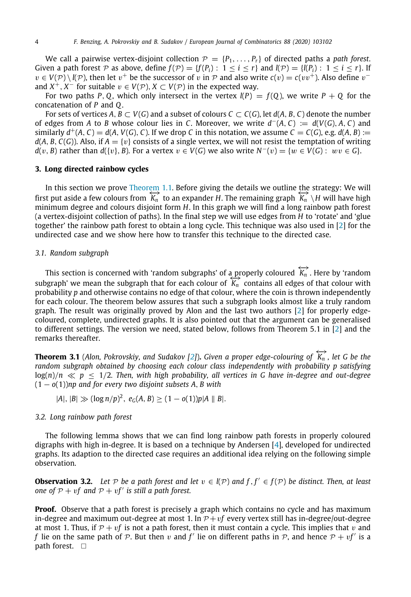We call a pairwise vertex-disjoint collection  $P = \{P_1, \ldots, P_r\}$  of directed paths a *path forest*. Given a path forest P as above, define  $f(P) = \{f(P_i): 1 \le i \le r\}$  and  $I(P) = \{I(P_i): 1 \le i \le r\}$ . If  $v \in V(\mathcal{P}) \setminus l(\mathcal{P})$ , then let  $v^+$  be the successor of v in  $\mathcal{P}$  and also write  $c(v) = c(vv^+)$ . Also define  $v^$ and  $X^+$ ,  $X^-$  for suitable  $v \in V(\mathcal{P})$ ,  $X \subset V(\mathcal{P})$  in the expected way.

For two paths P, Q, which only intersect in the vertex  $l(P) = f(Q)$ , we write  $P + Q$  for the concatenation of *P* and *Q*.

For sets of vertices  $A, B \subset V(G)$  and a subset of colours  $C \subset C(G)$ , let  $d(A, B, C)$  denote the number of edges from *A* to *B* whose colour lies in *C*. Moreover, we write  $d^-(A, C) := d(V(G), A, C)$  and similarly  $d^+(A, C) = d(A, V(G), C)$ . If we drop *C* in this notation, we assume  $C = C(G)$ , e.g.  $d(A, B) :=$  $d(A, B, C(G))$ . Also, if  $A = \{v\}$  consists of a single vertex, we will not resist the temptation of writing *d*(*v*, *B*) rather than *d*({*v*}, *B*). For a vertex *v* ∈ *V*(*G*) we also write  $N^{-}(v) = \{w \in V(G): wv \in G\}$ .

#### **3. Long directed rainbow cycles**

<span id="page-3-0"></span>In this section we prove [Theorem](#page-1-0) [1.1.](#page-1-0) Before giving the details we outline the strategy: We will first put aside a few colours from  $\overleftrightarrow{K_n}$  to an expander *H*. The remaining graph  $\overleftrightarrow{K_n} \setminus H$  will have high minimum degree and colours disjoint form *H*. In this graph we will find a long rainbow path forest (a vertex-disjoint collection of paths). In the final step we will use edges from *H* to 'rotate' and 'glue together' the rainbow path forest to obtain a long cycle. This technique was also used in [[2\]](#page-20-6) for the undirected case and we show here how to transfer this technique to the directed case.

#### *3.1. Random subgraph*

This section is concerned with 'random subgraphs' of a properly coloured  $\overleftrightarrow{k_n}$ . Here by 'random subgraph' we mean the subgraph that for each colour of  $K_n$  contains all edges of that colour with probability *p* and otherwise contains no edge of that colour, where the coin is thrown independently for each colour. The theorem below assures that such a subgraph looks almost like a truly random graph. The result was originally proved by Alon and the last two authors  $[2]$  $[2]$  $[2]$  for properly edgecoloured, complete, undirected graphs. It is also pointed out that the argument can be generalised to different settings. The version we need, stated below, follows from Theorem 5.1 in [\[2](#page-20-6)] and the remarks thereafter.

<span id="page-3-2"></span>**Theorem 3.1** (Alon, Pokrovskiy, and Sudakov [[2](#page-20-6)]). Given a proper edge-colouring of  $\overleftrightarrow{K_n}$ , let G be the *random subgraph obtained by choosing each colour class independently with probability p satisfying*  $log(n)/n \ll p \le 1/2$ . Then, with high probability, all vertices in G have in-degree and out-degree (1 − *o*(1))*np and for every two disjoint subsets A*, *B with*

$$
|A|, |B| \gg (\log n/p)^2, e_G(A, B) \ge (1 - o(1))p|A||B|.
$$

#### *3.2. Long rainbow path forest*

The following lemma shows that we can find long rainbow path forests in properly coloured digraphs with high in-degree. It is based on a technique by Andersen [[4](#page-20-20)], developed for undirected graphs. Its adaption to the directed case requires an additional idea relying on the following simple observation.

<span id="page-3-1"></span>**Observation 3.2.** Let  $P$  be a path forest and let  $v \in l(P)$  and  $f, f' \in f(P)$  be distinct. Then, at least *one of*  $P + vf$  *and*  $P + vf'$  *is still a path forest.* 

**Proof.** Observe that a path forest is precisely a graph which contains no cycle and has maximum in-degree and maximum out-degree at most 1. In  $P + vf$  every vertex still has in-degree/out-degree at most 1. Thus, if  $\mathcal{P} + \mathcal{v}f$  is not a path forest, then it must contain a cycle. This implies that v and *f* lie on the same path of  $P$ . But then  $v$  and  $f'$  lie on different paths in  $P$ , and hence  $P + vf'$  is a path forest.  $\square$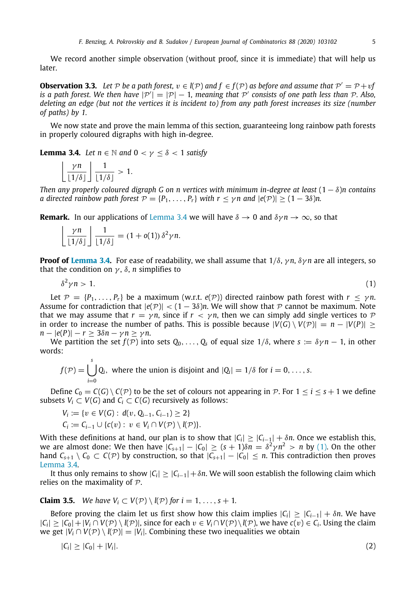We record another simple observation (without proof, since it is immediate) that will help us later.

<span id="page-4-4"></span>**Observation 3.3.** Let  $P$  be a path forest,  $v \in \mathbb{I}(P)$  and  $f \in f(P)$  as before and assume that  $P' = P + vf$ *is a path forest. We then have*  $|P'| = |P| - 1$ , meaning that  $P'$  consists of one path less than  $P$ . Also, *deleting an edge (but not the vertices it is incident to) from any path forest increases its size (number of paths) by 1.*

We now state and prove the main lemma of this section, guaranteeing long rainbow path forests in properly coloured digraphs with high in-degree.

<span id="page-4-0"></span>**Lemma 3.4.** *Let*  $n \in \mathbb{N}$  *and*  $0 < \gamma < \delta < 1$  *satisfy* 

$$
\left\lfloor \frac{\gamma n}{\lfloor 1/\delta \rfloor} \right\rfloor \frac{1}{\lfloor 1/\delta \rfloor} > 1.
$$

*Then any properly coloured digraph G on n vertices with minimum in-degree at least* (1 − δ)*n contains a* directed rainbow path forest  $P = \{P_1, \ldots, P_r\}$  with  $r < \gamma n$  and  $|e(P)| > (1 - 3\delta)n$ .

**Remark.** In our applications of [Lemma](#page-4-0) [3.4](#page-4-0) we will have  $\delta \to 0$  and  $\delta \gamma n \to \infty$ , so that

$$
\left\lfloor \frac{\gamma n}{\lfloor 1/\delta \rfloor} \right\rfloor \frac{1}{\lfloor 1/\delta \rfloor} = (1 + o(1)) \, \delta^2 \gamma n.
$$

**Proof of [Lemma](#page-4-0) [3.4.](#page-4-0)** For ease of readability, we shall assume that  $1/\delta$ ,  $\gamma n$ ,  $\delta \gamma n$  are all integers, so that the condition on  $\gamma$ ,  $\delta$ , *n* simplifies to

<span id="page-4-1"></span>
$$
\delta^2 \gamma n > 1. \tag{1}
$$

Let  $\mathcal{P} = \{P_1, \ldots, P_r\}$  be a maximum (w.r.t.  $e(\mathcal{P})$ ) directed rainbow path forest with  $r \leq \gamma n$ . Assume for contradiction that  $|e(\mathcal{P})| < (1 - 3\delta)n$ . We will show that  $\mathcal P$  cannot be maximum. Note that we may assume that  $r = \gamma n$ , since if  $r < \gamma n$ , then we can simply add single vertices to  $\mathcal P$ in order to increase the number of paths. This is possible because  $|V(G) \setminus V(\mathcal{P})| = n - |V(P)| >$  $n - |e(P)| - r \geq 3\delta n - \gamma n \geq \gamma n$ .

We partition the set  $f(\overline{P})$  into sets  $Q_0, \ldots, Q_s$  of equal size  $1/\delta$ , where  $s := \delta \gamma n - 1$ , in other words:

$$
f(\mathcal{P}) = \bigcup_{i=0}^{s} Q_i
$$
, where the union is disjoint and  $|Q_i| = 1/\delta$  for  $i = 0, ..., s$ .

Define  $C_0 = C(G) \setminus C(\mathcal{P})$  to be the set of colours not appearing in  $\mathcal{P}$ . For  $1 \le i \le s+1$  we define subsets  $V_i \subset V(G)$  and  $C_i \subset C(G)$  recursively as follows:

$$
V_i := \{v \in V(G) : d(v, Q_{i-1}, C_{i-1}) \ge 2\}
$$
  

$$
C_i := C_{i-1} \cup \{c(v) : v \in V_i \cap V(\mathcal{P}) \setminus l(\mathcal{P})\}.
$$

With these definitions at hand, our plan is to show that  $|C_i| \geq |C_{i-1}| + \delta n$ . Once we establish this, we are almost done: We then have  $|C_{s+1}| - |C_0| \ge (s+1)\delta n = \delta^2 \gamma n^2 > n$  by [\(1](#page-4-1)). On the other hand  $C_{s+1} \setminus C_0 \subset C(\mathcal{P})$  by construction, so that  $|C_{s+1}| - |C_0| \leq n$ . This contradiction then proves [Lemma](#page-4-0) [3.4](#page-4-0).

It thus only remains to show  $|C_i| \geq |C_{i-1}| + \delta n$ . We will soon establish the following claim which relies on the maximality of  $P$ .

**Claim 3.5.** *We have*  $V_i \subset V(\mathcal{P}) \setminus l(\mathcal{P})$  *for*  $i = 1, \ldots, s + 1$ *.* 

Before proving the claim let us first show how this claim implies  $|C_i| \geq |C_{i-1}| + \delta n$ . We have  $|C_i| \geq |C_0| + |V_i \cap V(\mathcal{P}) \setminus l(\mathcal{P})|$ , since for each  $v \in V_i \cap V(\mathcal{P}) \setminus l(\mathcal{P})$ , we have  $c(v) \in C_i$ . Using the claim we get  $|V_i \cap V(\mathcal{P}) \setminus l(\mathcal{P})| = |V_i|$ . Combining these two inequalities we obtain

<span id="page-4-3"></span><span id="page-4-2"></span>
$$
|C_i| \ge |C_0| + |V_i|.\tag{2}
$$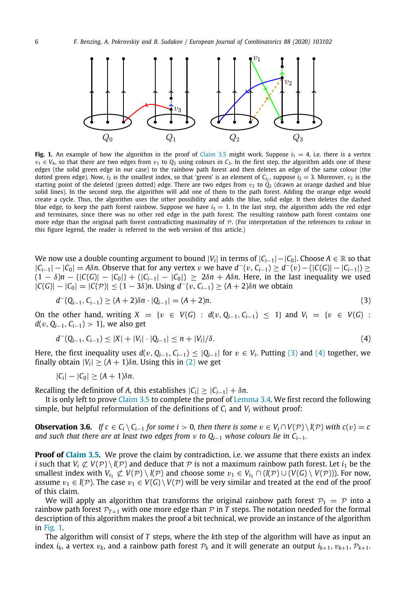

<span id="page-5-2"></span>**Fig. 1.** An example of how the algorithm in the proof of [Claim](#page-4-2) [3.5](#page-4-2) might work. Suppose  $i_1 = 4$ , i.e. there is a vertex  $v_1 \in V_4$ , so that there are two edges from  $v_1$  to  $Q_3$  using colours in  $C_3$ . In the first step, the algorithm adds one of these edges (the solid green edge in our case) to the rainbow path forest and then deletes an edge of the same colour (the dotted green edge). Now,  $i_2$  is the smallest index, so that 'green' is an element of  $\mathcal{C}_{i_2}$ , suppose  $i_2=3$ . Moreover,  $v_2$  is the starting point of the deleted (green dotted) edge. There are two edges from  $v_2$  to  $\tilde{Q}_2$  (drawn as orange dashed and blue solid lines). In the second step, the algorithm will add one of them to the path forest. Adding the orange edge would create a cycle. Thus, the algorithm uses the other possibility and adds the blue, solid edge. It then deletes the dashed blue edge, to keep the path forest rainbow. Suppose we have  $i_3 = 1$ . In the last step, the algorithm adds the red edge and terminates, since there was no other red edge in the path forest. The resulting rainbow path forest contains one more edge than the original path forest contradicting maximality of  $P$ . (For interpretation of the references to colour in this figure legend, the reader is referred to the web version of this article.)

We now use a double counting argument to bound  $|V_i|$  in terms of  $|C_{i-1}|-|C_0|$ . Choose  $A\in\mathbb{R}$  so that  $|C_{i-1}| - |C_0| = A\delta n$ . Observe that for any vertex v we have  $d^-(v, C_{i-1}) \ge d^-(v) - (|C(G)| - |C_{i-1}|) \ge$  $(1 - \delta)n - (|C(G)| - |C_0|) + (|C_{i-1}| - |C_0|) \ge 2\delta n + A\delta n$ . Here, in the last inequality we used  $|C(G)| - |C_0| = |C(\mathcal{P})|$  ≤  $(1 – 3\delta)n$ . Using  $d^-(v, C_{i-1})$  ≥  $(A + 2)\delta n$  we obtain

<span id="page-5-0"></span>
$$
d^{-}(Q_{i-1}, C_{i-1}) \ge (A+2)\delta n \cdot |Q_{i-1}| = (A+2)n. \tag{3}
$$

On the other hand, writing  $X = \{v \in V(G) : d(v, Q_{i-1}, C_{i-1}) \le 1\}$  and  $V_i = \{v \in V(G)$ : *d*(*v*, *Q*<sub>*i*−1</sub>, *C*<sub>*i*−1</sub>) > 1}, we also get

<span id="page-5-1"></span>
$$
d^{-}(Q_{i-1}, C_{i-1}) \leq |X| + |V_i| \cdot |Q_{i-1}| \leq n + |V_i|/\delta.
$$
\n(4)

Here, the first inequality uses  $d(v, Q_{i-1}, C_{i-1}) \leq |Q_{i-1}|$  for  $v \in V_i$ . Putting [\(3\)](#page-5-0) and [\(4](#page-5-1)) together, we finally obtain  $|V_i| \geq (A + 1)\delta n$ . Using this in ([2\)](#page-4-3) we get

<span id="page-5-3"></span>
$$
|C_i| - |C_0| \geq (A+1)\delta n.
$$

Recalling the definition of *A*, this establishes  $|C_i| \geq |C_{i-1}| + \delta n$ .

It is only left to prove [Claim](#page-4-2) [3.5](#page-4-2) to complete the proof of [Lemma](#page-4-0) [3.4](#page-4-0). We first record the following simple, but helpful reformulation of the definitions of  $C_i$  and  $V_i$  without proof:

**Observation 3.6.** *If*  $c \in C_i \setminus C_{i-1}$  *for some*  $i > 0$ *, then there is some*  $v \in V_i \cap V(\mathcal{P}) \setminus l(\mathcal{P})$  *with*  $c(v) = c$ *and such that there are at least two edges from* v *to Qi*−<sup>1</sup> *whose colours lie in Ci*−1*.*

**Proof of [Claim](#page-4-2) [3.5](#page-4-2).** We prove the claim by contradiction, i.e. we assume that there exists an index *i* such that  $V_i \not\subset V(\mathcal{P}) \setminus l(\mathcal{P})$  and deduce that  $\mathcal P$  is not a maximum rainbow path forest. Let  $i_1$  be the smallest index with  $V_{i_1} \not\subset V(\mathcal{P}) \setminus l(\mathcal{P})$  and choose some  $v_1 \in V_{i_1} \cap (l(\mathcal{P}) \cup (V(G) \setminus V(\mathcal{P})))$ . For now, assume  $v_1 \in l(\mathcal{P})$ . The case  $v_1 \in V(G) \setminus V(\mathcal{P})$  will be very similar and treated at the end of the proof of this claim.

We will apply an algorithm that transforms the original rainbow path forest  $P_1 = P$  into a rainbow path forest  $\mathcal{P}_{T+1}$  with one more edge than  $\mathcal P$  in *T* steps. The notation needed for the formal description of this algorithm makes the proof a bit technical, we provide an instance of the algorithm in [Fig.](#page-5-2) [1.](#page-5-2)

The algorithm will consist of *T* steps, where the *k*th step of the algorithm will have as input an index  $i_k$ , a vertex  $v_k$ , and a rainbow path forest  $\mathcal{P}_k$  and it will generate an output  $i_{k+1}, v_{k+1}, \mathcal{P}_{k+1}$ .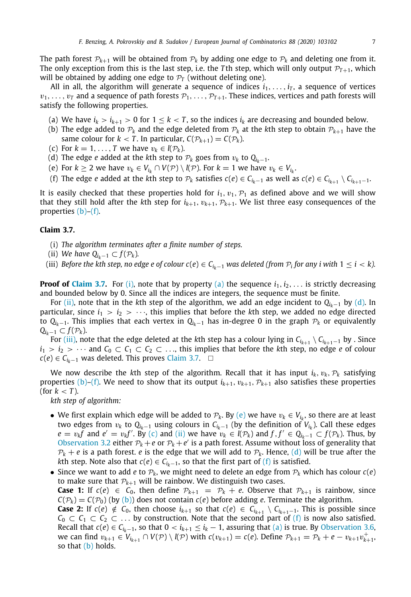The path forest  $\mathcal{P}_{k+1}$  will be obtained from  $\mathcal{P}_k$  by adding one edge to  $\mathcal{P}_k$  and deleting one from it. The only exception from this is the last step, i.e. the *T* th step, which will only output  $P_{T+1}$ , which will be obtained by adding one edge to  $P_T$  (without deleting one).

All in all, the algorithm will generate a sequence of indices  $i_1, \ldots, i_T$ , a sequence of vertices  $v_1, \ldots, v_T$  and a sequence of path forests  $\mathcal{P}_1, \ldots, \mathcal{P}_{T+1}$ . These indices, vertices and path forests will satisfy the following properties.

- <span id="page-6-4"></span>(a) We have  $i_k > i_{k+1} > 0$  for  $1 \leq k < T$ , so the indices  $i_k$  are decreasing and bounded below.
- <span id="page-6-0"></span>(b) The edge added to  $\mathcal{P}_k$  and the edge deleted from  $\mathcal{P}_k$  at the *k*th step to obtain  $\mathcal{P}_{k+1}$  have the same colour for  $k < T$ . In particular,  $C(\mathcal{P}_{k+1}) = C(\mathcal{P}_k)$ .
- <span id="page-6-9"></span>(c) For  $k = 1, \ldots, T$  we have  $v_k \in l(\mathcal{P}_k)$ .
- <span id="page-6-6"></span>(d) The edge *e* added at the *k*th step to  $\mathcal{P}_k$  goes from  $v_k$  to  $Q_{i_k-1}$ .
- <span id="page-6-8"></span>(e) For  $k \ge 2$  we have  $v_k \in V_{i_k} \cap V(\mathcal{P}) \setminus l(\mathcal{P})$ . For  $k = 1$  we have  $v_k \in V_{i_k}$ .
- <span id="page-6-1"></span>(f) The edge  $e$  added at the  $k$ th step to  $\mathcal{P}_k$  satisfies  $c(e) \in C_{i_k-1}$  as well as  $c(e) \in C_{i_{k+1}} \setminus C_{i_{k+1}-1}$ .

It is easily checked that these properties hold for  $i_1, v_1, \mathcal{P}_1$  as defined above and we will show that they still hold after the *k*th step for  $i_{k+1}$ ,  $v_{k+1}$ ,  $\mathcal{P}_{k+1}$ . We list three easy consequences of the properties [\(b\)](#page-6-0)[–\(f\)](#page-6-1).

#### **Claim 3.7.**

- <span id="page-6-3"></span><span id="page-6-2"></span>(i) *The algorithm terminates after a finite number of steps.*
- <span id="page-6-5"></span>(ii) *We have*  $Q_{i_k-1} \subset f(\mathcal{P}_k)$ *.*
- <span id="page-6-7"></span>(iii) Before the kth step, no edge e of colour  $c(e) \in C_{i_k-1}$  was deleted (from  $\mathcal{P}_i$  for any  $i$  with  $1 \leq i < k$ ).

**Proof of [Claim](#page-6-2) [3.7.](#page-6-2)** For [\(i\),](#page-6-3) note that by property [\(a\)](#page-6-4) the sequence  $i_1, i_2, \ldots$  is strictly decreasing and bounded below by 0. Since all the indices are integers, the sequence must be finite.

For [\(ii\)](#page-6-5), note that in the kth step of the algorithm, we add an edge incident to  $Q_{i\ell-1}$  by [\(d\)](#page-6-6). In particular, since  $i_1 > i_2 > \cdots$ , this implies that before the *k*th step, we added no edge directed to  $Q_{i_k-1}$ . This implies that each vertex in  $Q_{i_k-1}$  has in-degree 0 in the graph  $\mathcal{P}_k$  or equivalently *Q*<sub>*ik*−1</sub> ⊂  $f(P_k)$ .

For [\(iii\)](#page-6-7), note that the edge deleted at the *k*th step has a colour lying in  $C_{i_{k+1}} \setminus C_{i_{k+1}-1}$  by . Since  $i_1 > i_2 > \cdots$  and  $C_0 \subset C_1 \subset C_2 \subset \ldots$ , this implies that before the *k*th step, no edge *e* of colour *c*(*e*) ∈ *C*<sub>*ik*−1</sub> was deleted. This proves [Claim](#page-6-2) [3.7.](#page-6-2) □

We now describe the *k*th step of the algorithm. Recall that it has input  $i_k$ ,  $v_k$ ,  $\mathcal{P}_k$  satisfying properties [\(b\)](#page-6-0)–[\(f\).](#page-6-1) We need to show that its output  $i_{k+1}$ ,  $v_{k+1}$ ,  $\mathcal{P}_{k+1}$  also satisfies these properties (for  $k < T$ ).

*kth step of algorithm:*

- $\bullet$  We first explain which edge will be added to  $\mathcal{P}_k$ . By [\(e\)](#page-6-8) we have  $v_k \in V_{i_k}$ , so there are at least two edges from v*<sup>k</sup>* to *Q<sup>i</sup>k*−<sup>1</sup> using colours in *C<sup>i</sup>k*−<sup>1</sup> (by the definition of *V<sup>i</sup><sup>k</sup>* ). Call these edges *e* =  $v_k f$  and *e*<sup> $\prime$ </sup> =  $v_k f'$ . By [\(c\)](#page-6-9) and [\(ii\)](#page-6-5) we have  $v_k \in I(P_k)$  and  $f, f' \in Q_{i_k-1} \subset f(P_k)$ . Thus, by [Observation](#page-3-1) [3.2](#page-3-1) either  $\mathcal{P}_k + e$  or  $\mathcal{P}_k + e'$  is a path forest. Assume without loss of generality that  $P_k + e$  is a path forest, *e* is the edge that we will add to  $P_k$ . Hence, [\(d\)](#page-6-6) will be true after the *k*th step. Note also that  $c(e) \in C_{i_k-1}$ , so that the first part of [\(f\)](#page-6-1) is satisfied.
- Since we want to add *e* to  $\mathcal{P}_k$ , we might need to delete an edge from  $\mathcal{P}_k$  which has colour  $c(e)$ to make sure that  $P_{k+1}$  will be rainbow. We distinguish two cases. **Case 1:** If  $c(e) \in C_0$ , then define  $\mathcal{P}_{k+1} = \mathcal{P}_k + e$ . Observe that  $\mathcal{P}_{k+1}$  is rainbow, since  $C(\mathcal{P}_k) = C(\mathcal{P}_0)$  (by [\(b\)\)](#page-6-0) does not contain *c*(*e*) before adding *e*. Terminate the algorithm. **Case 2:** If *c*(*e*) ∉ *C*<sub>0</sub>, then choose  $i_{k+1}$  so that  $c(e) \in C_{i_{k+1}} \setminus C_{i_{k+1}-1}$ . This is possible since  $C_0 \subset C_1 \subset C_2 \subset \ldots$  by construction. Note that the second part of [\(f\)](#page-6-1) is now also satisfied. *Recall that <i>c*(*e*) ∈ *C*<sub>*ik*−1</sub>, so that 0 < *i*<sub>*k*+1</sub> ≤ *i<sub>k</sub>* − 1, assuring that [\(a\)](#page-6-4) is true. By [Observation](#page-5-3) [3.6,](#page-5-3)

*we can find*  $v_{k+1}$  ∈  $V_{i_{k+1}}$  ∩  $V(P) \setminus l(P)$  with  $c(v_{k+1}) = c(e)$ . Define  $P_{k+1} = P_k + e - v_{k+1}v_{k+1}^+$ so that  $(b)$  holds.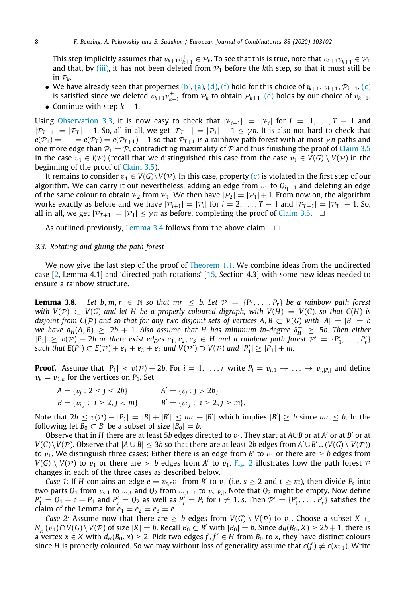This step implicitly assumes that  $v_{k+1}v_{k+1}^+ \in \mathcal{P}_k$ . To see that this is true, note that  $v_{k+1}v_{k+1}^+ \in \mathcal{P}_1$ and that, by [\(iii\),](#page-6-7) it has not been deleted from  $\mathcal{P}_1$  before the *k*th step, so that it must still be in  $P_k$ .

- We have already seen that properties [\(b\)](#page-6-0), [\(a\)](#page-6-4), [\(d\),](#page-6-6) [\(f\)](#page-6-1) hold for this choice of  $i_{k+1}, v_{k+1}, \mathcal{P}_{k+1}$ . [\(c\)](#page-6-9) is satisfied since we deleted  $v_{k+1}v_{k+1}^+$  from  $\mathcal{P}_k$  to obtain  $\mathcal{P}_{k+1}$ . [\(e\)](#page-6-8) holds by our choice of  $v_{k+1}$ .
- Continue with step  $k + 1$ .

Using [Observation](#page-4-4) [3.3,](#page-4-4) it is now easy to check that  $|\mathcal{P}_{i+1}| = |\mathcal{P}_i|$  for  $i = 1, ..., T - 1$  and  $|P_{T+1}| = |P_T| - 1$ . So, all in all, we get  $|P_{T+1}| = |P_1| - 1 \le \gamma n$ . It is also not hard to check that  $e(\mathcal{P}_1) = \cdots = e(\mathcal{P}_T) = e(\mathcal{P}_{T+1}) - 1$  so that  $\mathcal{P}_{T+1}$  is a rainbow path forest with at most  $\gamma n$  paths and one more edge than  $P_1 = P$ , contradicting maximality of P and thus finishing the proof of [Claim](#page-4-2) [3.5](#page-4-2) in the case  $v_1 \in l(\mathcal{P})$  (recall that we distinguished this case from the case  $v_1 \in V(G) \setminus V(\mathcal{P})$  in the beginning of the proof of [Claim](#page-4-2) [3.5](#page-4-2)).

It remains to consider  $v_1 \in V(G) \setminus V(\mathcal{P})$ . In this case, property [\(c\)](#page-6-9) is violated in the first step of our algorithm. We can carry it out nevertheless, adding an edge from  $v_1$  to  $Q_{i_1-1}$  and deleting an edge of the same colour to obtain  $P_2$  from  $P_1$ . We then have  $|P_2| = |P_1| + 1$ . From now on, the algorithm works exactly as before and we have  $|\mathcal{P}_{i+1}| = |\mathcal{P}_i|$  for  $i = 2, ..., T - 1$  and  $|\mathcal{P}_{T+1}| = |\mathcal{P}_T| - 1$ . So, all in all, we get  $|P_{T+1}| = |P_1| \le \gamma n$  as before, completing the proof of [Claim](#page-4-2) [3.5.](#page-4-2) □

As outlined previously, [Lemma](#page-4-0) [3.4](#page-4-0) follows from the above claim.  $\square$ 

#### *3.3. Rotating and gluing the path forest*

We now give the last step of the proof of [Theorem](#page-1-0) [1.1.](#page-1-0) We combine ideas from the undirected case [[2,](#page-20-6) Lemma 4.1] and 'directed path rotations' [\[15](#page-20-21), Section 4.3] with some new ideas needed to ensure a rainbow structure.

<span id="page-7-0"></span>**Lemma 3.8.** Let  $b, m, r \in \mathbb{N}$  so that  $mr \leq b$ . Let  $\mathcal{P} = \{P_1, \ldots, P_r\}$  be a rainbow path forest *with*  $V(P) \subset V(G)$  *and let H be a properly coloured digraph, with*  $V(H) = V(G)$ *, so that*  $C(H)$  *is disjoint from*  $C(\mathcal{P})$  *and so that for any two disjoint sets of vertices*  $A, B \subset V(G)$  *with*  $|A| = |B| = b$ *we have*  $d_H(A, B) \geq 2b + 1$ *. Also assume that H has minimum in-degree*  $\delta_H^- \geq 5b$ . Then either  $|P_1| \ge v(\mathcal{P}) - 2b$  or there exist edges  $e_1, e_2, e_3 \in H$  and a rainbow path forest  $\mathcal{P}' = \{P'_1, \ldots, P'_r\}$ *such that*  $E(P')$  ⊂  $E(P)$  +  $e_1$  +  $e_2$  +  $e_3$  *and*  $V(P')$  ⊃  $V(P)$  *and*  $|P'_1|$  ≥  $|P_1|$  + *m.* 

**Proof.** Assume that  $|P_1| < v(P) - 2b$ . For  $i = 1, ..., r$  write  $P_i = v_{i,1} \rightarrow ... \rightarrow v_{i,|P_i|}$  and define  $v_k = v_{1,k}$  for the vertices on  $P_1$ . Set

$$
A = \{v_j : 2 \le j \le 2b\}
$$
  
\n
$$
B = \{v_{i,j} : i \ge 2, j < m\}
$$
  
\n
$$
A' = \{v_j : j > 2b\}
$$
  
\n
$$
B' = \{v_{i,j} : i \ge 2, j \ge m\}.
$$

Note that  $2b \le v(\mathcal{P}) - |P_1| = |B| + |B'| \le mr + |B'|$  which implies  $|B'| \ge b$  since  $mr \le b$ . In the following let  $\overline{B_0} \subset B'$  be a subset of size  $|\overline{B_0}| = b$ .

Observe that in *H* there are at least 5*b* edges directed to  $v_1$ . They start at *A*∪*B* or at *A'* or at *B'* or at *V*(*G*)\*V*(*P*). Observe that  $|A \cup B|$  ≤ 3*b* so that there are at least 2*b* edges from  $A' \cup B' \cup (V(G) \setminus V(P))$ to  $v_1$ . We distinguish three cases: Either there is an edge from *B'* to  $v_1$  or there are  $\geq b$  edges from  $V(G) \setminus V(\mathcal{P})$  to  $v_1$  or there are  $> b$  edges from *A'* to  $v_1$ . [Fig.](#page-8-0) [2](#page-8-0) illustrates how the path forest  $\mathcal{P}$ changes in each of the three cases as described below.

*Case 1:* If *H* contains an edge  $e = v_{s,t}v_1$  from *B'* to  $v_1$  (i.e.  $s \geq 2$  and  $t \geq m$ ), then divide  $P_s$  into two parts *Q*<sup>1</sup> from v*s*,<sup>1</sup> to v*s*,*<sup>t</sup>* and *Q*<sup>2</sup> from v*s*,*t*+<sup>1</sup> to v*s*,|*Ps*<sup>|</sup> . Note that *Q*<sup>2</sup> might be empty. Now define  $P'_1 = Q_1 + e + P_1$  and  $P'_s = Q_2$  as well as  $P'_i = P_i$  for  $i \neq 1$ , s. Then  $P' = \{P'_1, \ldots, P'_r\}$  satisfies the claim of the Lemma for  $e_1 = e_2 = e_3 = e$ .

*Case 2:* Assume now that there are  $\geq b$  edges from  $V(G) \setminus V(\mathcal{P})$  to  $v_1$ . Choose a subset  $X \subset$ *N*<sub>H</sub><sup>−</sup>(*v*<sub>1</sub>)∩*V*(*G*) \ *V*(*P*) of size |*X*| = *b*. Recall *B*<sub>0</sub> ⊂ *B*<sup>′</sup> with |*B*<sub>0</sub>| = *b*. Since  $d_H(B_0, X) \ge 2b + 1$ , there is a vertex  $x \in X$  with  $d_H(B_0, x) \geq 2$ . Pick two edges  $f, f' \in H$  from  $B_0$  to  $x$ , they have distinct colours since *H* is properly coloured. So we may without loss of generality assume that  $c(f) \neq c(xv_1)$ . Write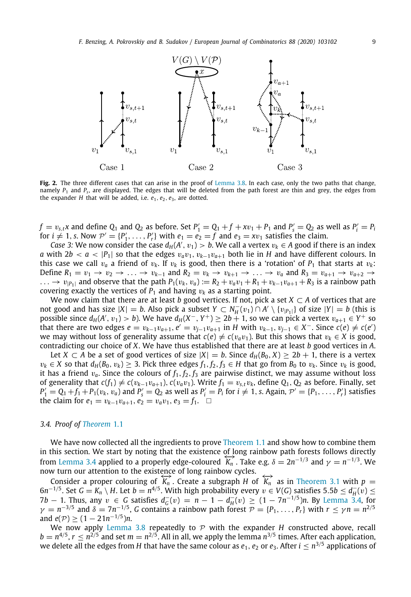

<span id="page-8-0"></span>**Fig. 2.** The three different cases that can arise in the proof of [Lemma](#page-7-0) [3.8](#page-7-0). In each case, only the two paths that change, namely *P*<sup>1</sup> and *P<sup>s</sup>* , are displayed. The edges that will be deleted from the path forest are thin and grey, the edges from the expander  $H$  that will be added, i.e.  $e_1$ ,  $e_2$ ,  $e_3$ , are dotted.

 $f = v_{s,t}$  and define  $Q_1$  and  $Q_2$  as before. Set  $P'_1 = Q_1 + f + xv_1 + P_1$  and  $P'_s = Q_2$  as well as  $P'_i = P_i$ for  $i \neq 1$ , *s*. Now  $\mathcal{P}' = \{P'_1, \ldots, P'_r\}$  with  $e_1 = e_2 = f$  and  $e_3 = xv_1$  satisfies the claim.

*Case* 3: We now consider the case  $d_H(A', v_1) > b$ . We call a vertex  $v_k \in A$  good if there is an index *a* with  $2b < a < |P_1|$  so that the edges  $v_a v_1, v_{k-1} v_{a+1}$  both lie in *H* and have different colours. In this case we call  $v_a$  a friend of  $v_k$ . If  $v_k$  is good, then there is a 'rotation' of  $P_1$  that starts at  $v_k$ : Define  $R_1 = v_1 \rightarrow v_2 \rightarrow \ldots \rightarrow v_{k-1}$  and  $R_2 = v_k \rightarrow v_{k+1} \rightarrow \ldots \rightarrow v_a$  and  $R_3 = v_{a+1} \rightarrow v_{a+2} \rightarrow$ ...  $\rightarrow v_{|P_1|}$  and observe that the path  $P_1(v_k, v_a) := R_2 + v_a v_1 + R_1 + v_{k-1} v_{a+1} + R_3$  is a rainbow path covering exactly the vertices of  $P_1$  and having  $v_k$  as a starting point.

We now claim that there are at least *b* good vertices. If not, pick a set *X* ⊂ *A* of vertices that are not good and has size  $|X| = b$ . Also pick a subset  $Y \subset N_H^-(v_1) \cap A' \setminus \{v_{|P_1|}\}$  of size  $|Y| = b$  (this is possible since  $d_H(A', v_1) > b$ ). We have  $d_H(X^-, Y^+) \ge 2b + 1$ , so we can pick a vertex  $v_{a+1} \in Y^+$  so that there are two edges  $e = v_{k-1}v_{a+1}$ ,  $e' = v_{j-1}v_{a+1}$  in *H* with  $v_{k-1}, v_{j-1} \in X^-$ . Since  $c(e) \neq c(e')$ we may without loss of generality assume that  $c(e) \neq c(v_a v_1)$ . But this shows that  $v_k \in X$  is good, contradicting our choice of *X*. We have thus established that there are at least *b* good vertices in *A*.

Let *X* ⊂ *A* be a set of good vertices of size  $|X| = b$ . Since  $d_H(B_0, X) \ge 2b + 1$ , there is a vertex *v<sub>k</sub>* ∈ *X* so that  $d_H(B_0, v_k)$  ≥ 3. Pick three edges  $f_1, f_2, f_3$  ∈ *H* that go from  $B_0$  to  $v_k$ . Since  $v_k$  is good, it has a friend  $v_a$ . Since the colours of  $f_1, f_2, f_3$  are pairwise distinct, we may assume without loss *of generality that*  $c(f_1) ≠ c(v_{k-1}v_{a+1})$ ,  $c(v_a v_1)$ . Write  $f_1 = v_{s,t}v_k$ , define  $Q_1$ ,  $Q_2$  as before. Finally, set  $P'_1 = Q_1 + f_1 + P_1(v_k, v_a)$  and  $P'_s = Q_2$  as well as  $P'_i = P_i$  for  $i \neq 1$ , s. Again,  $\mathcal{P}' = \{P_1, \ldots, P'_r\}$  satisfies the claim for  $e_1 = v_{k-1}v_{a+1}$ ,  $e_2 = v_a v_1$ ,  $e_3 = f_1$ . □

#### *3.4. Proof of [Theorem](#page-1-0)* [1.1](#page-1-0)

We have now collected all the ingredients to prove [Theorem](#page-1-0) [1.1](#page-1-0) and show how to combine them in this section. We start by noting that the existence of long rainbow path forests follows directly from [Lemma](#page-4-0) [3.4](#page-4-0) applied to a properly edge-coloured  $K_n$ . Take e.g.  $\delta = 2n^{-1/3}$  and  $\gamma = n^{-1/3}$ . We now turn our attention to the existence of long rainbow cycles.

Consider a proper colouring of  $\overleftrightarrow{K_n}$ . Create a subgraph *H* of  $\overleftrightarrow{K_n}$  as in [Theorem](#page-3-2) [3.1](#page-3-2) with  $p =$  $6n^{-1/5}$ . Set  $G = K_n \setminus H$ . Let  $b = n^{4/5}$ . With high probability every  $v \in V(G)$  satisfies 5.5 $b \le d_H^-(v)$  ≤ *7b* − 1. Thus, any  $v \in G$  satisfies  $d_G^-(v) = n - 1 - d_H^-(v) \ge (1 - 7n^{-1/5})n$ . By [Lemma](#page-4-0) [3.4](#page-4-0), for  $\gamma = n^{-3/5}$  and  $\delta = 7n^{-1/5}$ , *G* contains a rainbow path forest  $\mathcal{P} = \{P_1, \ldots, P_r\}$  with  $r \leq \gamma n = n^{2/5}$  $\text{and } e(\mathcal{P}) \geq (1 - 21n^{-1/5})n.$ 

We now apply [Lemma](#page-7-0) [3.8](#page-7-0) repeatedly to  $P$  with the expander  $H$  constructed above, recall  $b = n^{4/5}$ ,  $r \le n^{2/5}$  and set  $m = n^{2/5}$ . All in all, we apply the lemma  $n^{3/5}$  times. After each application, we delete all the edges from  $H$  that have the same colour as  $e_1, e_2$  or  $e_3.$  After  $i\leq n^{3/5}$  applications of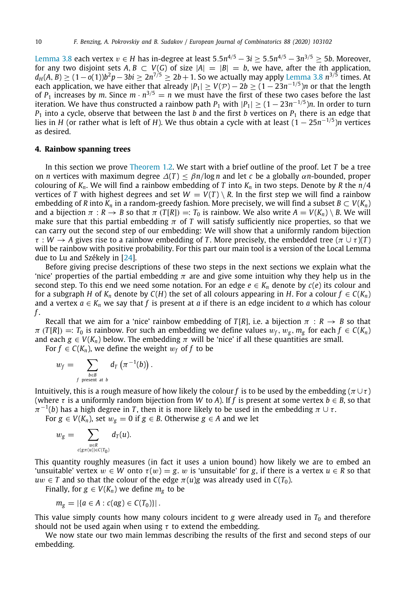[Lemma](#page-7-0) [3.8](#page-7-0) each vertex  $v \in H$  has in-degree at least 5.5 $n^{4/5} - 3i \geq 5.5 n^{4/5} - 3n^{3/5} \geq 5b.$  Moreover, for any two disjoint sets  $A, B \subset V(G)$  of size  $|A| = |B| = b$ , we have, after the *i*th application, *d*<sub>*H*</sub>(*A*, *B*) ≥ (1−*o*(1))*b*<sup>2</sup>*p*−3*bi* ≥ 2*n*<sup>7/5</sup> ≥ 2*b* + 1. So we actually may apply [Lemma](#page-7-0) [3.8](#page-7-0) *n*<sup>3/5</sup> times. At each application, we have either that already  $|P_1| \ge V(\mathcal{P}) - 2b \ge (1-23n^{-1/5})n$  or that the length of  $P_1$  increases by m. Since  $m \cdot n^{3/5} = n$  we must have the first of these two cases before the last iteration. We have thus constructed a rainbow path  $P_1$  with  $|P_1| \geq (1-23n^{-1/5})n$ . In order to turn  $P_1$  into a cycle, observe that between the last *b* and the first *b* vertices on  $P_1$  there is an edge that lies in *H* (or rather what is left of *H*). We thus obtain a cycle with at least (1 − 25*n* −1/5 )*n* vertices as desired.

#### **4. Rainbow spanning trees**

<span id="page-9-0"></span>In this section we prove [Theorem](#page-2-0) [1.2](#page-2-0). We start with a brief outline of the proof. Let *T* be a tree on *n* vertices with maximum degree  $\Delta(T) \leq \beta n / \log n$  and let *c* be a globally  $\alpha n$ -bounded, proper colouring of  $K_n$ . We will find a rainbow embedding of *T* into  $K_n$  in two steps. Denote by *R* the  $n/4$ vertices of *T* with highest degrees and set  $W = V(T) \setminus R$ . In the first step we will find a rainbow embedding of *R* into  $K_n$  in a random-greedy fashion. More precisely, we will find a subset  $B \subset V(K_n)$ and a bijection  $\pi : R \to B$  so that  $\pi(T[R]) =: T_0$  is rainbow. We also write  $A = V(K_n) \setminus B$ . We will make sure that this partial embedding  $\pi$  of *T* will satisfy sufficiently nice properties, so that we can carry out the second step of our embedding: We will show that a uniformly random bijection  $\tau : W \to A$  gives rise to a rainbow embedding of *T*. More precisely, the embedded tree  $(\pi \cup \tau)(T)$ will be rainbow with positive probability. For this part our main tool is a version of the Local Lemma due to Lu and Székely in [\[24\]](#page-20-19).

Before giving precise descriptions of these two steps in the next sections we explain what the 'nice' properties of the partial embedding  $\pi$  are and give some intuition why they help us in the second step. To this end we need some notation. For an edge  $e \in K_n$  denote by  $c(e)$  its colour and for a subgraph *H* of  $K_n$  denote by  $C(H)$  the set of all colours appearing in *H*. For a colour  $f \in C(K_n)$ and a vertex  $a \in K_n$  we say that f is present at a if there is an edge incident to a which has colour *f* .

Recall that we aim for a 'nice' rainbow embedding of *T*[*R*], i.e. a bijection  $\pi : R \to B$  so that  $\pi$  (*T*[*R*]) =: *T*<sub>0</sub> is rainbow. For such an embedding we define values  $w_f$ ,  $w_g$ ,  $m_g$  for each  $f \in C(K_n)$ and each  $g \in V(K_n)$  below. The embedding  $\pi$  will be 'nice' if all these quantities are small.

For  $f \in C(K_n)$ , we define the weight  $w_f$  of  $f$  to be

$$
w_f = \sum_{\substack{b \in B \\ f \text{ present at } b}} d_T \left( \pi^{-1}(b) \right).
$$

Intuitively, this is a rough measure of how likely the colour *f* is to be used by the embedding ( $\pi \cup \tau$ ) (where  $\tau$  is a uniformly random bijection from *W* to *A*). If *f* is present at some vertex  $b \in B$ , so that  $\pi^{-1}(b)$  has a high degree in *T*, then it is more likely to be used in the embedding  $\pi\cup\tau.$ 

For  $g \in V(K_n)$ , set  $w_g = 0$  if  $g \in B$ . Otherwise  $g \in A$  and we let

$$
w_g=\sum_{u\in R\atop{c(g\pi(u))\in C(T_0)}}d_T(u).
$$

This quantity roughly measures (in fact it uses a union bound) how likely we are to embed an 'unsuitable' vertex  $w \in W$  onto  $\tau(w) = g$ . w is 'unsuitable' for g, if there is a vertex  $u \in R$  so that  $uw \in T$  and so that the colour of the edge  $\pi(u)$ *g* was already used in  $C(T_0)$ .

Finally, for  $g \in V(K_n)$  we define  $m_g$  to be

$$
m_g = |\{a \in A : c(ag) \in C(T_0)\}|.
$$

This value simply counts how many colours incident to  $g$  were already used in  $T_0$  and therefore should not be used again when using  $\tau$  to extend the embedding.

<span id="page-9-1"></span>We now state our two main lemmas describing the results of the first and second steps of our embedding.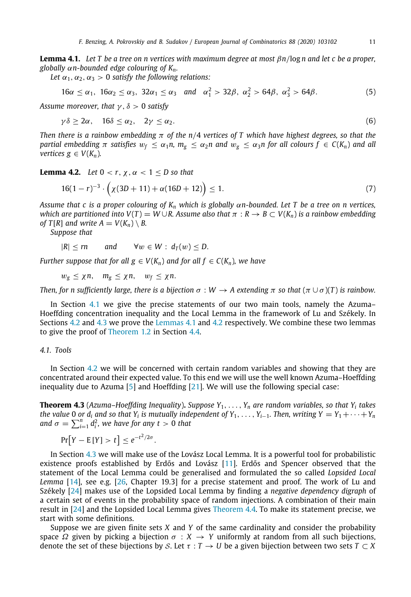**Lemma 4.1.** *Let T be a tree on n vertices with maximum degree at most* β*n*/log *n and let c be a proper, globally* α*n-bounded edge colouring of Kn.*

*Let*  $\alpha_1, \alpha_2, \alpha_3 > 0$  *satisfy the following relations:* 

<span id="page-10-2"></span>
$$
16\alpha \leq \alpha_1, \ 16\alpha_2 \leq \alpha_3, \ 32\alpha_1 \leq \alpha_3 \quad \text{and} \quad \alpha_1^2 > 32\beta, \ \alpha_2^2 > 64\beta, \ \alpha_3^2 > 64\beta. \tag{5}
$$

*Assume moreover, that* γ , δ > 0 *satisfy*

<span id="page-10-3"></span>
$$
\gamma \delta \geq 2\alpha, \quad 16\delta \leq \alpha_2, \quad 2\gamma \leq \alpha_2. \tag{6}
$$

*Then there is a rainbow embedding* π *of the n*/4 *vertices of T which have highest degrees, so that the partial embedding*  $\pi$  *satisfies*  $w_f \leq \alpha_1 n$ ,  $m_g \leq \alpha_2 n$  and  $w_g \leq \alpha_3 n$  for all colours  $f \in C(K_n)$  and all *vertices*  $g \in V(K_n)$ .

<span id="page-10-1"></span>**Lemma 4.2.** *Let*  $0 < r$ ,  $\chi$ ,  $\alpha < 1 < D$  so that

<span id="page-10-4"></span>
$$
16(1 - r)^{-3} \cdot \left(\chi(3D + 11) + \alpha(16D + 12)\right) \le 1. \tag{7}
$$

*Assume that c is a proper colouring of K<sup>n</sup> which is globally* α*n-bounded. Let T be a tree on n vertices, which are partitioned into V(T)* =  $W \cup R$ . Assume also that  $\pi : R \to B \subset V(K_n)$  is a rainbow embedding *of*  $T[R]$  *and write*  $A = V(K_n) \setminus B$ .

*Suppose that*

$$
|R| \le rn \qquad \text{and} \qquad \forall w \in W : d_T(w) \le D.
$$

*Further suppose that for all*  $g \in V(K_n)$  *and for all*  $f \in C(K_n)$ *, we have* 

 $w_g \leq \chi n$ ,  $m_g \leq \chi n$ ,  $w_f \leq \chi n$ .

*Then, for n sufficiently large, there is a bijection*  $\sigma : W \to A$  extending  $\pi$  so that  $(\pi \cup \sigma)(T)$  is rainbow.

In Section [4.1](#page-10-0) we give the precise statements of our two main tools, namely the Azuma– Hoeffding concentration inequality and the Local Lemma in the framework of Lu and Székely. In Sections [4.2](#page-11-0) and [4.3](#page-15-0) we prove the [Lemmas](#page-9-1) [4.1](#page-9-1) and [4.2](#page-10-1) respectively. We combine these two lemmas to give the proof of [Theorem](#page-2-0) [1.2](#page-2-0) in Section [4.4](#page-18-1).

### *4.1. Tools*

<span id="page-10-0"></span>In Section [4.2](#page-11-0) we will be concerned with certain random variables and showing that they are concentrated around their expected value. To this end we will use the well known Azuma–Hoeffding inequality due to Azuma [[5\]](#page-20-22) and Hoeffding [[21](#page-20-23)]. We will use the following special case:

**Theorem 4.3** (*Azuma–Hoeffding Inequality*)**.** *Suppose Y*1, . . . , *Y<sup>n</sup> are random variables, so that Y<sup>i</sup> takes the value* 0 or  $d_i$  and so that  $Y_i$  is mutually independent of  $Y_1, \ldots, Y_{i-1}$ . Then, writing  $Y = Y_1 + \cdots + Y_n$ and  $\sigma = \sum_{i=1}^{n} d_i^2$ , we have for any  $t > 0$  that

$$
Pr[Y - E[Y] > t] \le e^{-t^2/2\sigma}.
$$

In Section [4.3](#page-15-0) we will make use of the Lovász Local Lemma. It is a powerful tool for probabilistic existence proofs established by Erdős and Lovász [[11](#page-20-24)]. Erdős and Spencer observed that the statement of the Local Lemma could be generalised and formulated the so called *Lopsided Local Lemma* [\[14\]](#page-20-25), see e.g. [[26](#page-20-26), Chapter 19.3] for a precise statement and proof. The work of Lu and Székely [[24](#page-20-19)] makes use of the Lopsided Local Lemma by finding a *negative dependency digraph* of a certain set of events in the probability space of random injections. A combination of their main result in [\[24\]](#page-20-19) and the Lopsided Local Lemma gives [Theorem](#page-11-1) [4.4](#page-11-1). To make its statement precise, we start with some definitions.

Suppose we are given finite sets *X* and *Y* of the same cardinality and consider the probability space  $\Omega$  given by picking a bijection  $\sigma : X \to Y$  uniformly at random from all such bijections, denote the set of these bijections by S. Let  $\tau : T \to U$  be a given bijection between two sets  $T \subset X$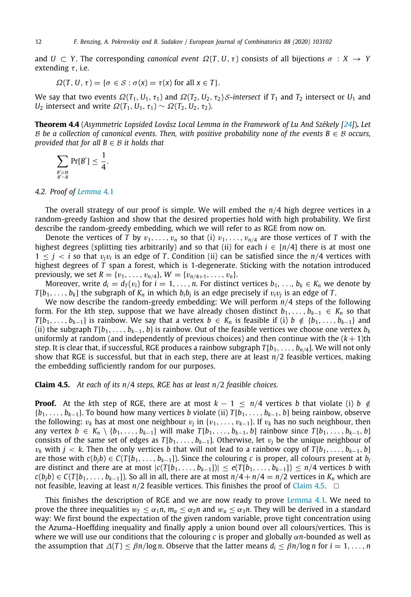and  $U \subset Y$ . The corresponding *canonical event*  $\Omega(T, U, \tau)$  consists of all bijections  $\sigma : X \to Y$ extending  $\tau$ , i.e.

<span id="page-11-1"></span>
$$
\Omega(T, U, \tau) = \{ \sigma \in S : \sigma(x) = \tau(x) \text{ for all } x \in T \}.
$$

We say that two events  $\Omega(T_1, U_1, \tau_1)$  and  $\Omega(T_2, U_2, \tau_2)$  S-intersect if  $T_1$  and  $T_2$  intersect or  $U_1$  and *U*<sub>2</sub> intersect and write  $Ω(T_1, U_1, \tau_1) \sim Ω(T_2, U_2, \tau_2)$ .

**Theorem 4.4** (*Asymmetric Lopsided Lovász Local Lemma in the Framework of Lu And Székely [[24\]](#page-20-19)*)**.** *Let* B be a collection of canonical events. Then, with positive probability none of the events  $B \in \mathcal{B}$  occurs, *provided that for all B* ∈ B *it holds that*

$$
\sum_{B' \in \mathcal{B} \atop B' \sim B} \Pr[B'] \leq \frac{1}{4}.
$$

### *4.2. Proof of [Lemma](#page-9-1)* [4.1](#page-9-1)

<span id="page-11-0"></span>The overall strategy of our proof is simple. We will embed the *n*/4 high degree vertices in a random-greedy fashion and show that the desired properties hold with high probability. We first describe the random-greedy embedding, which we will refer to as RGE from now on.

Denote the vertices of *T* by  $v_1, \ldots, v_n$  so that (i)  $v_1, \ldots, v_{n/4}$  are those vertices of *T* with the highest degrees (splitting ties arbitrarily) and so that (ii) for each  $i \in [n/4]$  there is at most one  $1 \leq j \leq i$  so that  $v_jv_i$  is an edge of *T*. Condition (ii) can be satisfied since the  $n/4$  vertices with highest degrees of *T* span a forest, which is 1-degenerate. Sticking with the notation introduced previously, we set  $R = \{v_1, \ldots, v_{n/4}\}, W = \{v_{n/4+1}, \ldots, v_n\}.$ 

Moreover, write  $d_i = d_T(v_i)$  for  $i = 1, \ldots, n$ . For distinct vertices  $b_1, \ldots, b_k \in K_n$  we denote by  $T[b_1, \ldots, b_k]$  the subgraph of  $K_n$  in which  $b_i b_j$  is an edge precisely if  $v_i v_j$  is an edge of *T*.

We now describe the random-greedy embedding: We will perform *n*/4 steps of the following form. For the *k*th step, suppose that we have already chosen distinct  $b_1, \ldots, b_{k-1} \in K_n$  so that *T*[ $b_1, \ldots, b_{k-1}$ ] is rainbow. We say that a vertex  $b \in K_n$  is feasible if (i)  $b \notin \{b_1, \ldots, b_{k-1}\}$  and (ii) the subgraph *T* [*b*1, . . . , *bk*−1, *b*] is rainbow. Out of the feasible vertices we choose one vertex *b<sup>k</sup>* uniformly at random (and independently of previous choices) and then continue with the  $(k+1)$ th step. It is clear that, if successful, RGE produces a rainbow subgraph *T* [*b*1, . . . , *bn*/4]. We will not only show that RGE is successful, but that in each step, there are at least *n*/2 feasible vertices, making the embedding sufficiently random for our purposes.

#### <span id="page-11-2"></span>**Claim 4.5.** *At each of its n*/4 *steps, RGE has at least n*/2 *feasible choices.*

**Proof.** At the kth step of RGE, there are at most  $k - 1 \le n/4$  vertices *b* that violate (i) *b*  $\notin$ {*b*1, . . . , *bk*−1}. To bound how many vertices *b* violate (ii) *T* [*b*1, . . . , *bk*−1, *b*] being rainbow, observe the following:  $v_k$  has at most one neighbour  $v_j$  in  $\{v_1, \ldots, v_{k-1}\}$ . If  $v_k$  has no such neighbour, then any vertex *b* ∈ *K<sub>n</sub>* \ {*b*<sub>1</sub>, . . . , *b<sub>k−1</sub>*} will make *T*[*b*<sub>1</sub>, . . . , *b<sub>k−1</sub>*, *b*] rainbow since *T*[*b*<sub>1</sub>, . . . , *b<sub>k−1</sub>*, *b*] consists of the same set of edges as  $T[b_1, \ldots, b_{k-1}]$ . Otherwise, let  $v_j$  be the unique neighbour of  $v_k$  with  $j < k$ . Then the only vertices *b* that will not lead to a rainbow copy of  $T[b_1, \ldots, b_{k-1}, b]$ are those with  $c(b_i b) \in C(T[b_1, \ldots, b_{k-1}])$ . Since the colouring *c* is proper, all colours present at  $b_i$ are distinct and there are at most  $|c(T[b_1, \ldots, b_{k-1}])| \le e(T[b_1, \ldots, b_{k-1}]) \le n/4$  vertices *b* with  $c(b_jb) \in C(T[b_1,\ldots,b_{k-1}])$ . So all in all, there are at most  $n/4 + n/4 = n/2$  vertices in  $K_n$  which are not feasible, leaving at least *n*/2 feasible vertices. This finishes the proof of [Claim](#page-11-2) [4.5.](#page-11-2) □

This finishes the description of RGE and we are now ready to prove [Lemma](#page-9-1) [4.1](#page-9-1). We need to prove the three inequalities  $w_f \le \alpha_1 n$ ,  $m_a \le \alpha_2 n$  and  $w_a \le \alpha_3 n$ . They will be derived in a standard way: We first bound the expectation of the given random variable, prove tight concentration using the Azuma–Hoeffding inequality and finally apply a union bound over all colours/vertices. This is where we will use our conditions that the colouring  $c$  is proper and globally  $\alpha n$ -bounded as well as the assumption that  $\Delta(T) \leq \beta n / \log n$ . Observe that the latter means  $d_i \leq \beta n / \log n$  for  $i = 1, \ldots, n$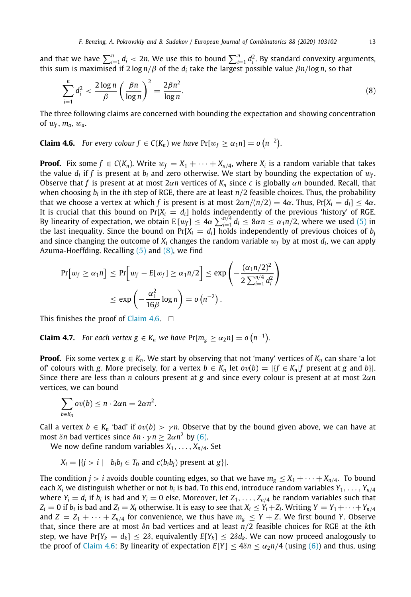and that we have  $\sum_{i=1}^n d_i < 2n$ . We use this to bound  $\sum_{i=1}^n d_i^2$ . By standard convexity arguments, this sum is maximised if  $2 \log n/\beta$  of the *d<sub>i</sub>* take the largest possible value  $\beta n/\log n$ , so that

<span id="page-12-0"></span>
$$
\sum_{i=1}^{n} d_i^2 < \frac{2\log n}{\beta} \left(\frac{\beta n}{\log n}\right)^2 = \frac{2\beta n^2}{\log n}.\tag{8}
$$

The three following claims are concerned with bounding the expectation and showing concentration of  $w_f$ ,  $m_a$ ,  $w_a$ .

<span id="page-12-1"></span>**Claim 4.6.** For every colour  $f \in C(K_n)$  we have  $Pr[w_f \geq \alpha_1 n] = o(n^{-2})$ .

**Proof.** Fix some  $f \in C(K_n)$ . Write  $w_f = X_1 + \cdots + X_{n/4}$ , where  $X_i$  is a random variable that takes the value  $d_i$  if  $f$  is present at  $b_i$  and zero otherwise. We start by bounding the expectation of  $w_f$ . Observe that *f* is present at at most 2α*n* vertices of *K<sup>n</sup>* since *c* is globally α*n* bounded. Recall, that when choosing  $b_i$  in the *i*th step of RGE, there are at least  $n/2$  feasible choices. Thus, the probability that we choose a vertex at which *f* is present is at most  $2\alpha n/(n/2) = 4\alpha$ . Thus, Pr[ $X_i = d_i$ ]  $\leq 4\alpha$ . It is crucial that this bound on  $Pr[X_i = d_i]$  holds independently of the previous 'history' of RGE. By linearity of expectation, we obtain  $E[w_f] \le 4\alpha \sum_{i=1}^{n/4} d_i \le 8\alpha n \le \alpha_1 n/2$ , where we used [\(5](#page-10-2)) in the last inequality. Since the bound on  $Pr[X_i = d_i]$  holds independently of previous choices of  $b_i$ and since changing the outcome of  $X_i$  changes the random variable  $w_f$  by at most  $d_i$ , we can apply Azuma-Hoeffding. Recalling  $(5)$  $(5)$  and  $(8)$ , we find

$$
Pr[w_f \ge \alpha_1 n] \le Pr\Big[w_f - E[w_f] \ge \alpha_1 n/2\Big] \le \exp\left(-\frac{(\alpha_1 n/2)^2}{2\sum_{i=1}^{n/4} d_i^2}\right)
$$
  

$$
\le \exp\left(-\frac{\alpha_1^2}{16\beta}\log n\right) = o\left(n^{-2}\right).
$$

This finishes the proof of [Claim](#page-12-1) [4.6](#page-12-1).  $\square$ 

<span id="page-12-2"></span>**Claim 4.7.** For each vertex  $g \in K_n$  we have  $Pr[m_g \geq \alpha_2 n] = o(n^{-1})$ .

**Proof.** Fix some vertex  $g \in K_n$ . We start by observing that not 'many' vertices of  $K_n$  can share 'a lot of' colours with *g*. More precisely, for a vertex  $b \in K_n$  let  $ov(b) = |\{f \in K_n | f$  present at *g* and *b* $\}$ . Since there are less than *n* colours present at *g* and since every colour is present at at most 2α*n* vertices, we can bound

$$
\sum_{b\in K_n}ov(b)\leq n\cdot 2\alpha n=2\alpha n^2.
$$

Call a vertex  $b \in K_n$  'bad' if  $ov(b) > \gamma n$ . Observe that by the bound given above, we can have at most  $\delta n$  bad vertices since  $\delta n \cdot \gamma n \geq 2\alpha n^2$  by [\(6](#page-10-3)).

We now define random variables  $X_1, \ldots, X_{n/4}$ . Set

 $X_i = |\{j > i \mid b_i b_i \in T_0 \text{ and } c(b_i b_i) \text{ present at } g\}|.$ 

The condition *j* > *i* avoids double counting edges, so that we have  $m_g \leq X_1 + \cdots + X_{n/4}$ . To bound each  $X_i$  we distinguish whether or not  $b_i$  is bad. To this end, introduce random variables  $Y_1, \ldots, Y_{n/4}$ where  $Y_i = d_i$  if  $b_i$  is bad and  $Y_i = 0$  else. Moreover, let  $Z_1, \ldots, Z_{n/4}$  be random variables such that  $Z_i = 0$  if  $b_i$  is bad and  $Z_i = X_i$  otherwise. It is easy to see that  $X_i \le Y_i + Z_i$ . Writing  $Y = Y_1 + \cdots + Y_{n/4}$ and  $Z = Z_1 + \cdots + Z_{n/4}$  for convenience, we thus have  $m_g \le Y + Z$ . We first bound *Y*. Observe that, since there are at most δ*n* bad vertices and at least *n*/2 feasible choices for RGE at the *k*th step, we have  $Pr[Y_k = d_k] \le 2\delta$ , equivalently  $E[Y_k] \le 2\delta d_k$ . We can now proceed analogously to the proof of [Claim](#page-12-1) [4.6:](#page-12-1) By linearity of expectation  $E[Y] \le 4\delta n \le \alpha_2 n/4$  (using ([6\)](#page-10-3)) and thus, using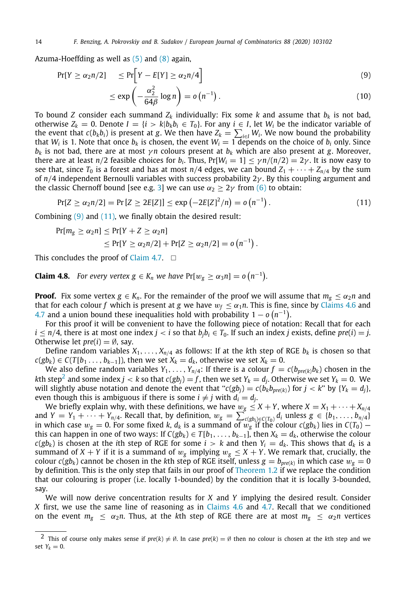Azuma-Hoeffding as well as  $(5)$  and  $(8)$  $(8)$  again,

<span id="page-13-0"></span>
$$
Pr[Y \ge \alpha_2 n/2] \le Pr\left[Y - E[Y] \ge \alpha_2 n/4\right]
$$
\n
$$
\le \exp\left(-\frac{\alpha_2^2}{64\beta} \log n\right) = o\left(n^{-1}\right). \tag{10}
$$

To bound *Z* consider each summand 
$$
Z_k
$$
 individually: Fix some *k* and assume that  $b_k$  is not bad, otherwise  $Z_k = 0$ . Denote  $I = \{i > k | b_k b_i \in T_0\}$ . For any  $i \in I$ , let  $W_i$  be the indicator variable of the event that  $c(b_k b_i)$  is present at *g*. We then have  $Z_k = \sum_{i \in I} W_i$ . We now bound the probability that  $W_i$  is 1. Note that once  $b_k$  is chosen, the event  $W_i = 1$  depends on the choice of  $b_i$  only. Since  $b_k$  is not bad, there are at most  $\gamma n$  colours present at  $b_k$  which are also present at *g*. Moreover, there are at least  $n/2$  feasible choices for  $b_i$ . Thus,  $Pr[W_i = 1] \le \gamma n/(n/2) = 2\gamma$ . It is now easy to see that, since  $T_0$  is a forest and has at most  $n/4$  edges, we can bound  $Z_1 + \cdots + Z_{n/4}$  by the sum of  $n/4$  independent Bernoulli variables with success probability  $2\gamma$ . By this coupling argument and the classic Chernoff bound [see e.g. 3] we can use  $\alpha_2 > 2\gamma$  from (6) to obtain:

<span id="page-13-1"></span>
$$
Pr[Z \ge \alpha_2 n/2] = Pr[Z \ge 2E[Z]] \le exp(-2E[Z]^2/n) = o(n^{-1}).
$$
\n(11)

Combining  $(9)$  $(9)$  and  $(11)$ , we finally obtain the desired result:

$$
Pr[m_g \ge \alpha_2 n] \le Pr[Y + Z \ge \alpha_2 n]
$$
  
\$\le Pr[Y \ge \alpha\_2 n/2] + Pr[Z \ge \alpha\_2 n/2] = o(n^{-1})\$.

This concludes the proof of [Claim](#page-12-2) [4.7](#page-12-2).  $\square$ 

<span id="page-13-3"></span>**Claim 4.8.** For every vertex  $g \in K_n$  we have  $Pr[w_g \geq \alpha_3 n] = o(n^{-1})$ .

**Proof.** Fix some vertex  $g \in K_n$ . For the remainder of the proof we will assume that  $m_g \le \alpha_2 n$  and that for each colour *f* which is present at *g* we have  $w_f \leq \alpha_1 n$ . This is fine, since by [Claims](#page-12-1) [4.6](#page-12-1) and [4.7](#page-12-2) and a union bound these inequalities hold with probability  $1 - o(n^{-1})$ .

For this proof it will be convenient to have the following piece of notation: Recall that for each *i* ≤ *n*/4, there is at most one index *j* < *i* so that  $b_jb_i$  ∈  $T_0$ . If such an index *j* exists, define *pre*(*i*) = *j*. Otherwise let  $pre(i) = \emptyset$ , say.

Define random variables  $X_1, \ldots, X_{n/4}$  as follows: If at the kth step of RGE  $b_k$  is chosen so that *c*(*gb*<sub>*k*</sub>) ∈ *C*(*T*[*b*<sub>1</sub> . . . , *b*<sub>*k*−1</sub>]), then we set *X*<sub>*k*</sub> = *d*<sub>*k*</sub>, otherwise we set *X*<sub>*k*</sub> = 0.

<span id="page-13-2"></span>We also define random variables  $Y_1, \ldots, Y_{n/4}$ : If there is a colour  $f = c(b_{pre(k)}b_k)$  chosen in the  $k$ th step $^2$  $^2$  and some index  $j < k$  so that  $c(gb_j) = f$  , then we set  $Y_k = d_j$ . Otherwise we set  $Y_k = 0$ . We will slightly abuse notation and denote the event that " $c(gb_i) = c(b_k b_{pre(k)})$  for  $j < k$ " by  $\{Y_k = d_i\}$ , even though this is ambiguous if there is some  $i \neq j$  with  $d_i = d_j$ .

We briefly explain why, with these definitions, we have  $w_g \leq X + Y$ , where  $X = X_1 + \cdots + X_{n/4}$ and  $Y = Y_1 + \cdots + Y_{n/4}$ . Recall that, by definition,  $w_g = \sum_{c(gb_i) \in C(T_0)} d_i$  unless  $g \in \{b_1, \ldots, b_{n/4}\}$ in which case  $w_g = 0$ . For some fixed *k*,  $d_k$  is a summand of  $w_g$  if the colour  $c(gb_k)$  lies in  $C(T_0)$  – this can happen in one of two ways: If  $C(gb_k) \in T[b_1, \ldots, b_{k-1}]$ , then  $X_k = d_k$ , otherwise the colour  $c(gb_k)$  is chosen at the *i*th step of RGE for some  $i > k$  and then  $Y_i = d_k$ . This shows that  $d_k$  is a summand of *X* + *Y* if it is a summand of  $w_g$  implying  $w_g \leq X + Y$ . We remark that, crucially, the  $\cosh(u)$  cannot be chosen in the kth step of RGE itself, unless  $g=b_{pre(k)}$  in which case  $w_g=0$ by definition. This is the only step that fails in our proof of [Theorem](#page-2-0) [1.2](#page-2-0) if we replace the condition that our colouring is proper (i.e. locally 1-bounded) by the condition that it is locally 3-bounded, say.

We will now derive concentration results for *X* and *Y* implying the desired result. Consider *X* first, we use the same line of reasoning as in [Claims](#page-12-1) [4.6](#page-12-1) and [4.7.](#page-12-2) Recall that we conditioned on the event  $m_g \le \alpha_2 n$ . Thus, at the *k*th step of RGE there are at most  $m_g \le \alpha_2 n$  vertices

<sup>2</sup> This of course only makes sense if  $pre(k) \neq \emptyset$ . In case  $pre(k) = \emptyset$  then no colour is chosen at the *k*th step and we set  $Y_k = 0$ .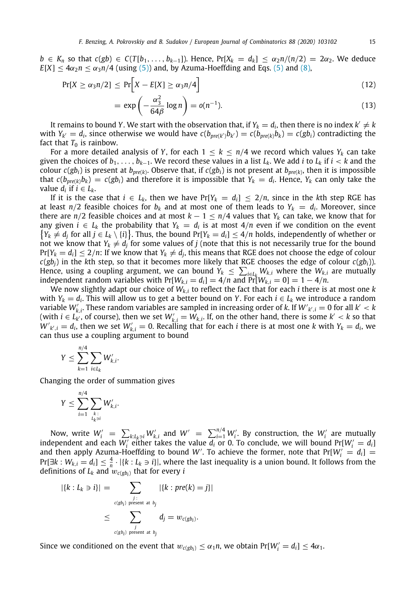$b \in K_n$  so that  $c(gb) \in C(T[b_1, \ldots, b_{k-1}])$ . Hence,  $Pr[X_k = d_k] \leq \alpha_2 n/(n/2) = 2\alpha_2$ . We deduce  $E[X] \le 4\alpha_2 n \le \alpha_3 n/4$  (using ([5](#page-10-2))) and, by Azuma-Hoeffding and Eqs. ([5\)](#page-10-2) and [\(8](#page-12-0)),

$$
Pr[X \ge \alpha_3 n/2] \le Pr\bigg[X - E[X] \ge \alpha_3 n/4\bigg]
$$
\n(12)

<span id="page-14-0"></span>
$$
= \exp\left(-\frac{\alpha_3^2}{64\beta}\log n\right) = o(n^{-1}).\tag{13}
$$

It remains to bound Y. We start with the observation that, if  $Y_k = d_i$ , then there is no index  $k' \neq k$ with  $Y_{k'} = d_i$ , since otherwise we would have  $c(b_{pre(k')}\mathbf{b}_{k'}) = c(b_{pre(k)}\mathbf{b}_k) = c(g\mathbf{b}_i)$  contradicting the fact that  $T_0$  is rainbow.

For a more detailed analysis of *Y*, for each  $1 < k < n/4$  we record which values  $Y_k$  can take given the choices of  $b_1, \ldots, b_{k-1}$ . We record these values in a list  $L_k$ . We add *i* to  $L_k$  if  $i < k$  and the colour  $c(gb_i)$  is present at  $b_{pre(k)}$ . Observe that, if  $c(gb_i)$  is not present at  $b_{pre(k)}$ , then it is impossible that  $c(b_{pre(k)}b_k) = c(gb_i)$  and therefore it is impossible that  $Y_k = d_i$ . Hence,  $Y_k$  can only take the value  $d_i$  if  $i \in L_k$ .

If it is the case that  $i \in L_k$ , then we have  $Pr[Y_k = d_i] \leq 2/n$ , since in the *k*th step RGE has at least  $n/2$  feasible choices for  $b_k$  and at most one of them leads to  $Y_k = d_i$ . Moreover, since there are *n*/2 feasible choices and at most  $k - 1 \le n/4$  values that  $Y_k$  can take, we know that for any given  $i \in L_k$  the probability that  $Y_k = d_i$  is at most  $4/n$  even if we condition on the event  ${Y_k \neq d_j \text{ for all } j \in L_k \setminus \{i\}}$ . Thus, the bound Pr[*Y<sub>k</sub>* = *d<sub>i</sub>*] ≤ 4/*n* holds, independently of whether or not we know that  $Y_k \neq d_j$  for some values of *j* (note that this is not necessarily true for the bound  $Pr[Y_k = d_i] \leq 2/n$ : If we know that  $Y_k \neq d_j$ , this means that RGE does not choose the edge of colour  $c(gb_i)$  in the *k*th step, so that it becomes more likely that RGE chooses the edge of colour  $c(gb_i)$ ). Hence, using a coupling argument, we can bound  $Y_k \leq \sum_{i \in L_k} W_{k,i}$  where the  $W_{k,i}$  are mutually independent random variables with  $Pr[W_{k,i} = d_i] = 4/n$  and  $Pr[W_{k,i} = 0] = 1 - 4/n$ .

We now slightly adapt our choice of *Wk*,*<sup>i</sup>* to reflect the fact that for each *i* there is at most one *k* with  $Y_k = d_i$ . This will allow us to get a better bound on *Y*. For each  $i \in L_k$  we introduce a random variable  $W'_{k,i}$ . These random variables are sampled in increasing order of *k*. If  $W'_{k',i} = 0$  for all  $k' < k$ (with  $i \in L_{k'}^{n'}$ , of course), then we set  $W'_{k,i} = W_{k,i}$ . If, on the other hand, there is some  $k' < k$  so that  $W'_{k,i} = d_i$ , then we set  $W'_{k,i} = 0$ . Recalling that for each *i* there is at most one *k* with  $Y_k = d_i$ , we can thus use a coupling argument to bound

$$
Y \leq \sum_{k=1}^{n/4} \sum_{i \in L_k} W'_{k,i}.
$$

Changing the order of summation gives

$$
Y \leq \sum_{i=1}^{n/4} \sum_{\substack{k \colon \\ L_k \ni i}} W'_{k,i}.
$$

Now, write  $W'_i = \sum_{k: L_k \ni i} W'_{k,i}$  and  $W' = \sum_{i=1}^{n/4} W'_i$ . By construction, the  $W'_i$  are mutually independent and each  $W_i'$  either takes the value  $\overline{d_i}$  or 0. To conclude, we will bound  $Pr[W_i' = d_i]$ and then apply Azuma-Hoeffding to bound *W'*. To achieve the former, note that  $Pr[W_i' = d_i] =$  $Pr[\exists k: W_{k,i} = d_i] \leq \frac{4}{n} \cdot |\{k: L_k \ni i\}|$ , where the last inequality is a union bound. It follows from the definitions of  $L_k$  and  $w_{c(gb_i)}$  that for every  $i$ 

$$
|\{k : L_k \ni i\}| = \sum_{\substack{j : \text{c(gb_i) present at } b_j \\ \text{c(gb_i) present at } b_j}} |\{k : pre(k) = j\}|
$$
  

$$
\leq \sum_{\substack{j : \text{c(gb_i) present at } b_j \\ \text{c(gb_i) present at } b_j}} |a_j = w_{c(gb_i)}.
$$

Since we conditioned on the event that  $w_{c(gb_i)} \leq \alpha_1 n$ , we obtain  $Pr[W'_i = d_i] \leq 4\alpha_1$ .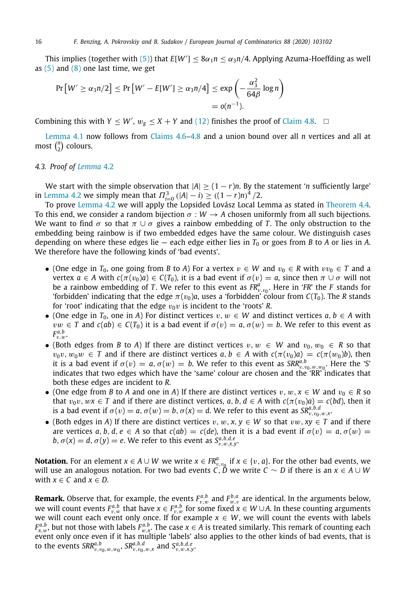This implies (together with [\(5](#page-10-2))) that  $E[W'] \leq 8\alpha_1 n \leq \alpha_3 n/4$ . Applying Azuma-Hoeffding as well as  $(5)$  $(5)$  $(5)$  and  $(8)$  $(8)$  one last time, we get

$$
\Pr\left[W' \ge \alpha_3 n/2\right] \le \Pr\left[W' - E[W'] \ge \alpha_3 n/4\right] \le \exp\left(-\frac{\alpha_3^2}{64\beta}\log n\right)
$$

$$
= o(n^{-1}).
$$

Combining this with  $Y \leq W'$ ,  $w_g \leq X + Y$  and [\(12\)](#page-14-0) finishes the proof of [Claim](#page-13-3) [4.8](#page-13-3).  $\Box$ 

[Lemma](#page-9-1) [4.1](#page-9-1) now follows from [Claims](#page-12-1) [4.6](#page-12-1)–[4.8](#page-13-3) and a union bound over all *n* vertices and all at most  $\binom{n}{2}$  colours.

#### *4.3. Proof of [Lemma](#page-10-1)* [4.2](#page-10-1)

<span id="page-15-0"></span>We start with the simple observation that  $|A| \ge (1 - r)n$ . By the statement '*n* sufficiently large' in [Lemma](#page-10-1) [4.2](#page-10-1) we simply mean that  $\Pi_{i=0}^{3}$  (|*A*| − *i*) ≥ ((1 − *r*)*n*)<sup>4</sup> /2.

To prove [Lemma](#page-10-1) [4.2](#page-10-1) we will apply the Lopsided Lovász Local Lemma as stated in [Theorem](#page-11-1) [4.4](#page-11-1). To this end, we consider a random bijection  $\sigma : W \to A$  chosen uniformly from all such bijections. We want to find  $\sigma$  so that  $\pi \cup \sigma$  gives a rainbow embedding of T. The only obstruction to the embedding being rainbow is if two embedded edges have the same colour. We distinguish cases depending on where these edges lie – each edge either lies in  $T_0$  or goes from *B* to *A* or lies in *A*. We therefore have the following kinds of 'bad events'.

- (One edge in  $T_0$ , one going from *B* to *A*) For a vertex  $v \in W$  and  $v_0 \in R$  with  $vv_0 \in T$  and a vertex  $a \in A$  with  $c(\pi(v_0)a) \in C(T_0)$ , it is a bad event if  $\sigma(v) = a$ , since then  $\pi \cup \sigma$  will not be a rainbow embedding of *T*. We refer to this event as  $FR^a_{v,v_0}$ . Here in '*FR*' the *F* stands for 'forbidden' indicating that the edge  $\pi(v_0)a$ , uses a 'forbidden' colour from  $C(T_0)$ . The *R* stands for 'root' indicating that the edge  $v_0v$  is incident to the 'roots' *R*.
- (One edge in  $T_0$ , one in *A*) For distinct vertices  $v, w \in W$  and distinct vertices  $a, b \in A$  with  $vw \in T$  and  $c(ab) \in C(T_0)$  it is a bad event if  $\sigma(v) = a, \sigma(w) = b$ . We refer to this event as  $F^{a,b}_{v,w}$ .
- (Both edges from *B* to *A*) If there are distinct vertices  $v, w \in W$  and  $v_0, w_0 \in R$  so that  $v_0v, w_0w \in T$  and if there are distinct vertices  $a, b \in A$  with  $c(\pi(v_0)a) = c(\pi(w_0)b)$ , then it is a bad event if  $\sigma(v) = a, \sigma(w) = b$ . We refer to this event as  $SRR_{v,v_0,w_0,w_0}^{a,b}$ . Here the 'S' indicates that two edges which have the 'same' colour are chosen and the 'RR' indicates that both these edges are incident to *R*.
- (One edge from *B* to *A* and one in *A*) If there are distinct vertices  $v, w, x \in W$  and  $v_0 \in R$  so that  $v_0v, wx \in T$  and if there are distinct vertices, *a*, *b*, *d*  $\in$  *A* with  $c(\pi(v_0)a) = c(bd)$ , then it is a bad event if  $\sigma(v) = a$ ,  $\sigma(w) = b$ ,  $\sigma(x) = d$ . We refer to this event as  $SR^{a,b,d}_{v,v_0,w,x}$
- (Both edges in *A*) If there are distinct vertices v, w, x,  $y \in W$  so that vw,  $xy \in T$  and if there are vertices *a*, *b*, *d*, *e*  $\in$  *A* so that *c*(*ab*) = *c*(*de*), then it is a bad event if  $\sigma(v) = a$ ,  $\sigma(w) =$  $b, \sigma(x) = d, \sigma(y) = e$ . We refer to this event as  $S_{v,w,x,y}^{a,b,d,e}$ .

**Notation.** For an element  $x \in A \cup W$  we write  $x \in \mathbb{R}_{v,v_0}^a$  if  $x \in \{v, a\}$ . For the other bad events, we will use an analogous notation. For two bad events *C*, *D* we write *C* ∼ *D* if there is an *x* ∈ *A* ∪ *W* with  $x \in C$  and  $x \in D$ .

**Remark.** Observe that, for example, the events  $F_{v,w}^{a,b}$  and  $F_{w,v}^{b,a}$  are identical. In the arguments below, we will count events  $F_{v,w}^{a,b}$  that have  $x \in F_{v,w}^{a,b}$  for some fixed  $x \in W \cup A$ . In these counting arguments we will count each event only once. If for example  $x \in W$ , we will count the events with labels  $F_{x,w}^{a,b}$ , but not those with labels  $F_{w,x}^{a,b}$ . The case  $x \in A$  is treated similarly. This remark of counting each event only once even if it has multiple 'labels' also applies to the other kinds of bad events, that is to the events  $SRR^{a,b}_{v,v_0,w,w_0}$ ,  $SR^{a,b,d}_{v,v_0,w,x}$  and  $S^{a,b,d,e}_{v,w,x,y}$ .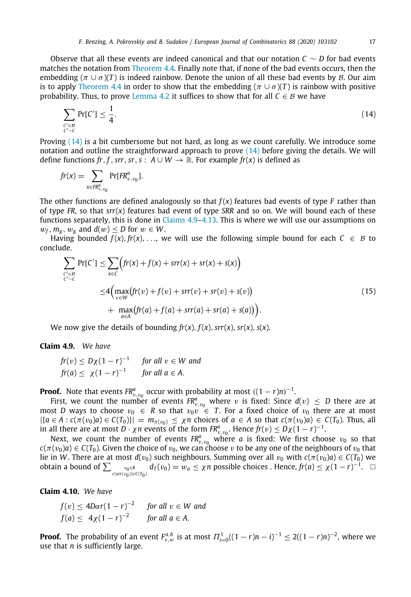Observe that all these events are indeed canonical and that our notation *C* ∼ *D* for bad events matches the notation from [Theorem](#page-11-1) [4.4](#page-11-1). Finally note that, if none of the bad events occurs, then the embedding ( $\pi \cup \sigma$ )(T) is indeed rainbow. Denote the union of all these bad events by B. Our aim is to apply [Theorem](#page-11-1) [4.4](#page-11-1) in order to show that the embedding ( $\pi \cup \sigma$ )(T) is rainbow with positive probability. Thus, to prove [Lemma](#page-10-1) [4.2](#page-10-1) it suffices to show that for all  $C \in \mathcal{B}$  we have

<span id="page-16-0"></span>
$$
\sum_{\substack{c' \in \mathcal{B} \\ c' \sim c}} \Pr[C'] \le \frac{1}{4}.\tag{14}
$$

Proving  $(14)$  $(14)$  $(14)$  is a bit cumbersome but not hard, as long as we count carefully. We introduce some notation and outline the straightforward approach to prove  $(14)$  before giving the details. We will define functions fr, f, srr, sr, s;  $A \cup W \rightarrow \mathbb{R}$ . For example fr(x) is defined as

$$
fr(x) = \sum_{x \in \mathbb{R}_{v,v_0}^a} \Pr[\mathbb{F}R_{v,v_0}^a].
$$

The other functions are defined analogously so that  $f(x)$  features bad events of type *F* rather than of type *FR*, so that *srr*(*x*) features bad event of type *SRR* and so on. We will bound each of these functions separately, this is done in [Claims](#page-16-1) [4.9](#page-16-1)–[4.13](#page-18-2). This is where we will use our assumptions on  $w_f$ ,  $m_g$ ,  $w_g$  and  $d(w)$  < *D* for  $w \in W$ .

Having bounded  $f(x)$ ,  $fr(x)$ , ..., we will use the following simple bound for each  $C \in B$  to conclude.

<span id="page-16-2"></span>
$$
\sum_{\substack{C' \in \mathcal{B} \\ C' \sim C}} \Pr[C'] \le \sum_{x \in C} \Big( fr(x) + f(x) + srr(x) + s(x) + s(x) \Big) \n\le 4 \Big( \max_{v \in W} (fr(v) + f(v) + srr(v) + s(v)) + \max_{a \in A} (fr(a) + f(a) + srr(a) + s(a)) \Big).
$$
\n(15)

We now give the details of bounding  $fr(x)$ ,  $f(x)$ ,  $srr(x)$ ,  $sr(x)$ ,  $s(x)$ .

#### **Claim 4.9.** *We have*

<span id="page-16-1"></span>
$$
\begin{aligned} \n\text{fr}(v) &\leq D\chi(1-r)^{-1} \qquad \text{for all } v \in W \text{ and} \\ \n\text{fr}(a) &\leq \chi(1-r)^{-1} \qquad \text{for all } a \in A. \n\end{aligned}
$$

**Proof.** Note that events  $FR_{v,v_0}^a$  occur with probability at most  $((1 - r)n)^{-1}$ .

First, we count the number of events  $FR^a_{v,v_0}$  where v is fixed: Since  $d(v) \leq D$  there are at most *D* ways to choose  $v_0 \in R$  so that  $v_0v \in T$ . For a fixed choice of  $v_0$  there are at most  $|\{a \in A : c(\pi(v_0)a) \in C(T_0)\}| = m_{\pi(v_0)} \leq \chi n$  choices of  $a \in A$  so that  $c(\pi(v_0)a) \in C(T_0)$ . Thus, all in all there are at most *D* ·  $\chi n$  events of the form  $FR^a_{v,v_0}$ . Hence  $fr(v) \leq D\chi(1-r)^{-1}$ .

Next, we count the number of events  $FR^{a}_{v,v_0}$  where *a* is fixed: We first choose  $v_0$  so that  $c(\pi(v_0)a) \in C(T_0)$ . Given the choice of  $v_0$ , we can choose  $v$  to be any one of the neighbours of  $v_0$  that lie in *W*. There are at most  $d(v_0)$  such neighbours. Summing over all  $v_0$  with  $c(\pi(v_0)a) \in C(T_0)$  we **obtain a bound of**  $\sum_{\substack{v_0 \in R \ c(a\pi(v_0)) \in C(T_0)}} d_T(v_0) = w_a \leq \chi n$  possible choices . Hence,  $f_r(a) \leq \chi(1-r)^{-1}$ . □

**Claim 4.10.** *We have*

$$
f(v) \le 4D\alpha r(1-r)^{-2} \quad \text{for all } v \in W \text{ and}
$$
  

$$
f(a) \le 4\chi(1-r)^{-2} \quad \text{for all } a \in A.
$$

**Proof.** The probability of an event  $F_{v,w}^{a,b}$  is at most  $\Pi_{i=0}^1((1-r)n-i)^{-1} \leq 2((1-r)n)^{-2}$ , where we use that *n* is sufficiently large.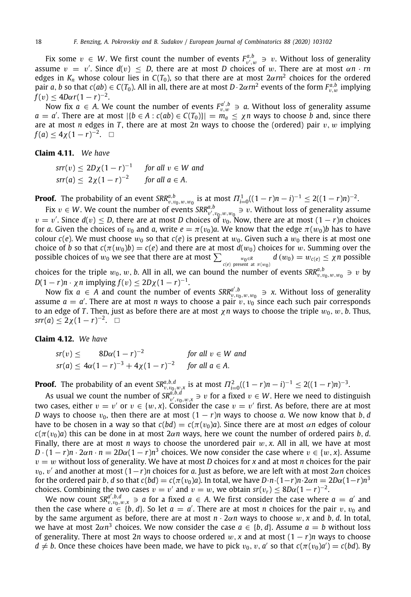Fix some  $v \in W$ . We first count the number of events  $F^{a,b}_{v',w} \ni v$ . Without loss of generality assume  $v = v'$ . Since  $d(v) \leq D$ , there are at most *D* choices of w. There are at most  $\alpha n \cdot m$ edges in  $K_n$  whose colour lies in  $C(T_0)$ , so that there are at most  $2\alpha rn^2$  choices for the ordered pair *a*, *b* so that  $c(ab) \in C(T_0)$ . All in all, there are at most  $D \cdot 2\alpha r n^2$  events of the form  $F_{v,w}^{a,b}$  implying  $f(v) \leq 4D\alpha r(1-r)^{-2}$ .

Now fix  $a \in A$ . We count the number of events  $F_{v,w}^{a',b} \ni a$ . Without loss of generality assume  $a = a'$ . There are at most  $|\{b \in A : c(ab) \in C(T_0)\}| = m_a \leq \chi n$  ways to choose *b* and, since there are at most *n* edges in *T*, there are at most 2*n* ways to choose the (ordered) pair v, w implying  $f(a) \leq 4\chi(1-r)^{-2}$ .  $\Box$ 

<span id="page-17-0"></span>**Claim 4.11.** *We have*

 $\text{srr}(v) \leq 2D\chi(1-r)^{-1}$  *for all*  $v \in W$  *and*  $srr(a) \leq 2\chi(1-r)^{-2}$ *for all*  $a \in A$ .

**Proof.** The probability of an event  $SRR_{v,v_0,w,w_0}^{a,b}$  is at most  $\Pi_{i=0}^1((1-r)n-i)^{-1} \leq 2((1-r)n)^{-2}$ .

Fix  $v \in W$ . We count the number of events  $SRR_{v',v_0,w,w_0}^{a,b} \ni v$ . Without loss of generality assume  $v = v'$ . Since  $d(v) \leq D$ , there are at most *D* choices of  $v_0$ . Now, there are at most  $(1 - r)n$  choices for *a*. Given the choices of  $v_0$  and *a*, write  $e = \pi(v_0)a$ . We know that the edge  $\pi(w_0)b$  has to have colour  $c(e)$ . We must choose  $w_0$  so that  $c(e)$  is present at  $w_0$ . Given such a  $w_0$  there is at most one choice of *b* so that  $c(\pi(w_0)b) = c(e)$  and there are at most  $d(w_0)$  choices for w. Summing over the possible choices of  $w_0$  we see that there are at most  $\sum_{c(e) \text{ present at } \pi(w_0)} d(w_0) = w_{c(e)} \leq \chi n$  possible choices for the triple  $w_0, w, b$ . All in all, we can bound the number of events  $SRR_{v,v_0,w,w_0}^{a,b} \ni v$  by

*D*(1 − *r*)*n* ·  $\chi$ *n* implying  $f(v) \le 2D\chi(1 - r)^{-1}$ .

Now fix  $a \in A$  and count the number of events  $SRR_{v,v_0,w,w_0}^{a',b} \ni x$ . Without loss of generality assume  $a = a'$ . There are at most *n* ways to choose a pair  $v, v_0$  since each such pair corresponds to an edge of *T*. Then, just as before there are at most  $\chi n$  ways to choose the triple  $w_0$ ,  $w$ , *b*. Thus,  $srr(a) \leq 2\chi(1-r)^{-2}$ . □

**Claim 4.12.** *We have*

$$
sr(v) \leq 8D\alpha(1-r)^{-2} \qquad \text{for all } v \in W \text{ and}
$$
  
 
$$
sr(a) \leq 4\alpha(1-r)^{-3} + 4\chi(1-r)^{-2} \qquad \text{for all } a \in A.
$$

**Proof.** The probability of an event  $SR^{a,b,d}_{v,v_0,w,x}$  is at most  $\Pi_{i=0}^2((1-r)n-i)^{-1} \leq 2((1-r)n)^{-3}$ .

As usual we count the number of  $SR_q^{a,b,d}$ ,  $\Rightarrow v$  for a fixed  $v \in W$ . Here we need to distinguish a case either  $v = v'$  or  $v \in \{w, v\}$  consider the case  $v = v'$  first. As before, there are at most two cases, either  $v = v'$  or  $v \in \{w, x\}$ . Consider the case  $v = v'$  first. As before, there are at most *D* ways to choose  $v_0$ , then there are at most  $(1 - r)n$  ways to choose *a*. We now know that *b*, *d* have to be chosen in a way so that  $c(bd) = c(\pi(v_0)a)$ . Since there are at most  $\alpha n$  edges of colour  $c(\pi(v_0)a)$  this can be done in at most  $2\alpha n$  ways, here we count the number of ordered pairs *b*, *d*. Finally, there are at most *n* ways to choose the unordered pair  $w$ ,  $x$ . All in all, we have at most  $D \cdot (1 - r)n \cdot 2\alpha n \cdot n = 2D\alpha (1 - r)n^3$  choices. We now consider the case where  $v \in \{w, x\}$ . Assume  $v = w$  without loss of generality. We have at most *D* choices for *x* and at most *n* choices for the pair v0, v′ and another at most (1−*r*)*n* choices for *a*. Just as before, we are left with at most 2α*n* choices for the ordered pair *b*, *d* so that  $c(bd) = c(\pi(v_0)a)$ . In total, we have *D*·*n*·(1−*r*)*n*·2 $\alpha$ *n* = 2*D* $\alpha$ (1−*r*)*n*<sup>3</sup> choices. Combining the two cases  $v = v'$  and  $v = w$ , we obtain  $sr(v_r) \leq 8D\alpha(1 - r)^{-2}$ .

We now count  $SR_{v,v_0,w,x}^{a',b,d} \ni a$  for a fixed  $a \in A$ . We first consider the case where  $a = a'$  and then the case where  $a \in \{b, d\}$ . So let  $a = a'$ . There are at most *n* choices for the pair  $v, v_0$  and by the same argument as before, there are at most *n* · 2α*n* ways to choose w, *x* and *b*, *d*. In total, we have at most  $2\alpha n^3$  choices. We now consider the case  $a \in \{b, d\}$ . Assume  $a = b$  without loss of generality. There at most 2*n* ways to choose ordered w, *x* and at most (1 − *r*)*n* ways to choose  $d \neq b$ . Once these choices have been made, we have to pick  $v_0, v, a'$  so that  $c(\pi(v_0)a') = c(bd)$ . By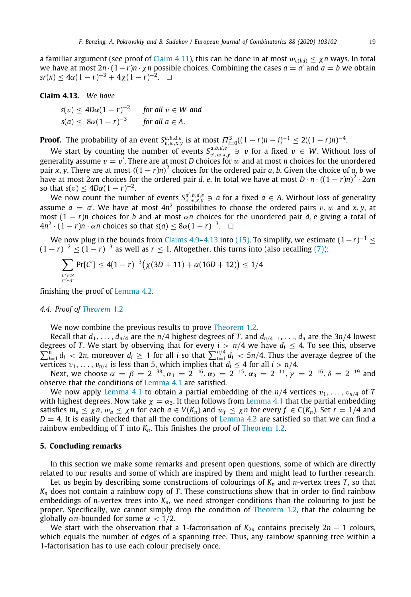a familiar argument (see proof of [Claim](#page-17-0) [4.11](#page-17-0)), this can be done in at most  $w_{c(bd)} \leq \chi n$  ways. In total we have at most  $2n \cdot (1-r)n \cdot \chi n$  possible choices. Combining the cases  $a = a'$  and  $a = b$  we obtain  $sr(x) \leq 4\alpha(1-r)^{-3} + 4\chi(1-r)^{-2}$ . □

### <span id="page-18-2"></span>**Claim 4.13.** *We have*

 $s(v) \leq 4D\alpha(1-r)^{-2}$  *for all*  $v \in W$  *and*  $s(a) \leq 8\alpha(1-r)^{-3}$  *for all a*  $\in$  *A*.

**Proof.** The probability of an event  $S_{v,w,x,y}^{a,b,d,e}$  is at most  $\Pi_{i=0}^3((1-r)n-i)^{-1} \leq 2((1-r)n)^{-4}$ .

We start by counting the number of events  $S^{a,b,d,e}_{v',w,x,y} \ni v$  for a fixed  $v \in W$ . Without loss of generality assume  $v = v'$ . There are at most *D* choices for w and at most *n* choices for the unordered pair *x*, *y*. There are at most  $((1 - r)n)^2$  choices for the ordered pair *a*, *b*. Given the choice of *a*, *b* we have at most  $2\alpha n$  choices for the ordered pair *d*, *e*. In total we have at most  $D \cdot n \cdot ((1 - r)n)^2 \cdot 2\alpha n$ so that  $s(v) \le 4D\alpha(1 - r)^{-2}$ .

We now count the number of events  $S_{v,w,x,y}^{a',b,d,e} \ni a$  for a fixed  $a \in A$ . Without loss of generality assume  $a = a'$ . We have at most  $4n^2$  possibilities to choose the ordered pairs  $v, w$  and  $x, y$ , at most  $(1 - r)n$  choices for *b* and at most *αn* choices for the unordered pair *d*, *e* giving a total of  $4n^2 \cdot (1-r)n \cdot \alpha n$  choices so that  $s(a) \leq 8\alpha(1-r)^{-3}$ . □

We now plug in the bounds from [Claims](#page-16-1) [4.9](#page-16-1)–[4.13](#page-18-2) into [\(15\)](#page-16-2). To simplify, we estimate  $(1-r)^{-1} \leq$  $(1 - r)^{-2} \le (1 - r)^{-3}$  as well as  $r \le 1$ . Altogether, this turns into (also recalling ([7\)](#page-10-4)):

$$
\sum_{\substack{C' \in \mathcal{B} \\ C' \sim C}} \Pr[C'] \le 4(1-r)^{-3} \big(\chi(3D+11) + \alpha(16D+12)\big) \le 1/4
$$

finishing the proof of [Lemma](#page-10-1) [4.2](#page-10-1).

#### *4.4. Proof of [Theorem](#page-2-0)* [1.2](#page-2-0)

<span id="page-18-1"></span>We now combine the previous results to prove [Theorem](#page-2-0) [1.2.](#page-2-0)

Recall that  $d_1, \ldots, d_{n/4}$  are the  $n/4$  highest degrees of *T*, and  $d_{n/4+1}, \ldots, d_n$  are the 3*n*/4 lowest ∑ degrees of *T*. We start by observing that for every  $i > n/4$  we have  $d_i \le 4$ . To see this, observe  $\sum_{i=1}^{n} d_i < 2n$ , moreover  $d_i \ge 1$  for all *i* so that  $\sum_{i=1}^{n/4} d_i < 5n/4$ . Thus the average degree of the vertices  $v_1, \ldots, v_{n/4}$  is less than 5, which implies that  $d_i \leq 4$  for all  $i > n/4$ .

Next, we choose  $\alpha = \beta = 2^{-38}, \alpha_1 = 2^{-16}, \alpha_2 = 2^{-15}, \alpha_3 = 2^{-11}, \gamma = 2^{-16}, \delta = 2^{-19}$  and observe that the conditions of [Lemma](#page-9-1) [4.1](#page-9-1) are satisfied.

We now apply [Lemma](#page-9-1) [4.1](#page-9-1) to obtain a partial embedding of the  $n/4$  vertices  $v_1, \ldots, v_{n/4}$  of *T* with highest degrees. Now take  $\chi = \alpha_3$ . It then follows from [Lemma](#page-9-1) [4.1](#page-9-1) that the partial embedding satisfies  $m_a \le \chi n$ ,  $w_a \le \chi n$  for each  $a \in V(K_n)$  and  $w_f \le \chi n$  for every  $f \in C(K_n)$ . Set  $r = 1/4$  and  $D = 4$ . It is easily checked that all the conditions of [Lemma](#page-10-1) [4.2](#page-10-1) are satisfied so that we can find a rainbow embedding of *T* into *Kn*. This finishes the proof of [Theorem](#page-2-0) [1.2](#page-2-0).

#### **5. Concluding remarks**

<span id="page-18-0"></span>In this section we make some remarks and present open questions, some of which are directly related to our results and some of which are inspired by them and might lead to further research.

Let us begin by describing some constructions of colourings of *K<sup>n</sup>* and *n*-vertex trees *T* , so that  $K_n$  does not contain a rainbow copy of *T*. These constructions show that in order to find rainbow embeddings of *n*-vertex trees into  $K_n$ , we need stronger conditions than the colouring to just be proper. Specifically, we cannot simply drop the condition of [Theorem](#page-2-0) [1.2](#page-2-0), that the colouring be globally  $\alpha$ *n*-bounded for some  $\alpha$  < 1/2.

We start with the observation that a 1-factorisation of  $K_{2n}$  contains precisely  $2n - 1$  colours, which equals the number of edges of a spanning tree. Thus, any rainbow spanning tree within a 1-factorisation has to use each colour precisely once.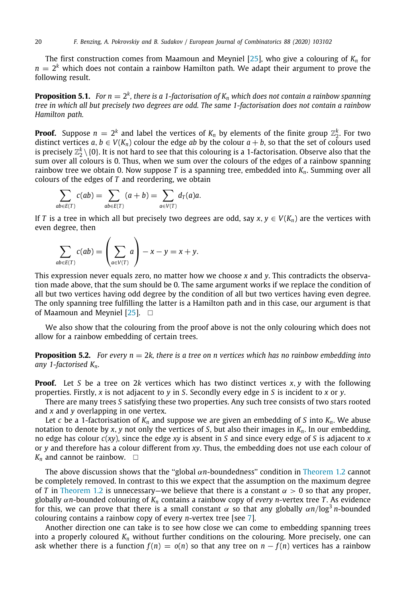The first construction comes from Maamoun and Meyniel [[25](#page-20-9)], who give a colouring of  $K_n$  for  $n=2^k$  which does not contain a rainbow Hamilton path. We adapt their argument to prove the following result.

<span id="page-19-0"></span> ${\bf Proposition 5.1.}$  For  $n=2^k$ , there is a 1-factorisation of  $K_n$  which does not contain a rainbow spanning *tree in which all but precisely two degrees are odd. The same 1-factorisation does not contain a rainbow Hamilton path.*

**Proof.** Suppose  $n = 2^k$  and label the vertices of  $K_n$  by elements of the finite group  $\mathbb{Z}_2^k$ . For two distinct vertices  $a, b \in V(K_n)$  colour the edge *ab* by the colour  $a + b$ , so that the set of colours used is precisely  $\mathbb{Z}_2^k\setminus\{0\}.$  It is not hard to see that this colouring is a 1-factorisation. Observe also that the sum over all colours is 0. Thus, when we sum over the colours of the edges of a rainbow spanning rainbow tree we obtain 0. Now suppose *T* is a spanning tree, embedded into *Kn*. Summing over all colours of the edges of *T* and reordering, we obtain

$$
\sum_{ab\in E(T)} c(ab) = \sum_{ab\in E(T)} (a+b) = \sum_{a\in V(T)} d_T(a)a.
$$

If *T* is a tree in which all but precisely two degrees are odd, say  $x, y \in V(K_n)$  are the vertices with even degree, then

$$
\sum_{ab\in E(T)} c(ab) = \left(\sum_{a\in V(T)} a\right) - x - y = x + y.
$$

This expression never equals zero, no matter how we choose *x* and *y*. This contradicts the observation made above, that the sum should be 0. The same argument works if we replace the condition of all but two vertices having odd degree by the condition of all but two vertices having even degree. The only spanning tree fulfilling the latter is a Hamilton path and in this case, our argument is that of Maamoun and Meyniel  $[25]$ .  $\square$ 

<span id="page-19-1"></span>We also show that the colouring from the proof above is not the only colouring which does not allow for a rainbow embedding of certain trees.

**Proposition 5.2.** For every  $n = 2k$ , there is a tree on n vertices which has no rainbow embedding into *any 1-factorised Kn.*

**Proof.** Let *S* be a tree on 2*k* vertices which has two distinct vertices *x*, *y* with the following properties. Firstly, *x* is not adjacent to *y* in *S*. Secondly every edge in *S* is incident to *x* or *y*.

There are many trees *S* satisfying these two properties. Any such tree consists of two stars rooted and *x* and *y* overlapping in one vertex.

Let *c* be a 1-factorisation of  $K_n$  and suppose we are given an embedding of *S* into  $K_n$ . We abuse notation to denote by *x*, *y* not only the vertices of *S*, but also their images in *Kn*. In our embedding, no edge has colour *c*(*xy*), since the edge *xy* is absent in *S* and since every edge of *S* is adjacent to *x* or *y* and therefore has a colour different from *xy*. Thus, the embedding does not use each colour of  $K_n$  and cannot be rainbow.  $\square$ 

The above discussion shows that the "global  $\alpha n$ -boundedness" condition in [Theorem](#page-2-0) [1.2](#page-2-0) cannot be completely removed. In contrast to this we expect that the assumption on the maximum degree of *T* in [Theorem](#page-2-0) [1.2](#page-2-0) is unnecessary—we believe that there is a constant  $\alpha > 0$  so that any proper, globally α*n*-bounded colouring of *K<sup>n</sup>* contains a rainbow copy of *every n*-vertex tree *T* . As evidence for this, we can prove that there is a small constant  $\alpha$  so that any globally  $\alpha n / \log^3 n$ -bounded colouring contains a rainbow copy of every *n*-vertex tree [see [7\]](#page-20-28).

Another direction one can take is to see how close we can come to embedding spanning trees into a properly coloured  $K_n$  without further conditions on the colouring. More precisely, one can ask whether there is a function  $f(n) = o(n)$  so that any tree on  $n - f(n)$  vertices has a rainbow